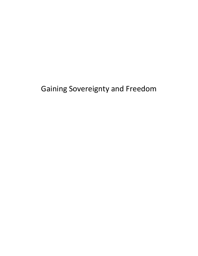# Gaining Sovereignty and Freedom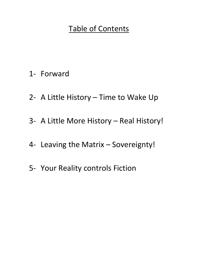# Table of Contents

- 1- Forward
- 2- A Little History Time to Wake Up
- 3- A Little More History Real History!
- 4- Leaving the Matrix Sovereignty!
- 5- Your Reality controls Fiction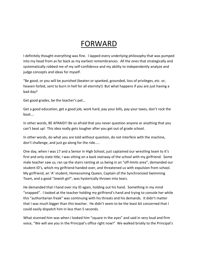### FORWARD

I definitely thought everything was fine. I lapped every underlying philosophy that was pumped into my head from as far back as my earliest remembrances. All the ones that strategically and systematically robbed me of my self-confidence and my ability to independently analyze and judge concepts and ideas for myself.

"Be good, or you will be punished (beaten or spanked, grounded, loss of privileges, etc. or, heaven forbid, sent to burn in hell for all eternity!) But what happens if you are just having a bad day?

Get good grades, be the teacher's pet…

Get a good education, get a good job, work hard, pay your bills, pay your taxes, don't rock the boat….

In other words, BE AFRAID!! Be so afraid that you never question anyone or anything that you can't beat up! This idea really gets tougher after you get out of grade school.

In other words, do what you are told without question, do not interfere with the machine, don't challenge, and just go along for the ride…..

One day, when I was 17 and a Senior in High School, just captained our wrestling team to it's first and only state title, I was sitting on a back stairway of the school with my girlfriend. Some male teacher saw us, ran up the stairs ranting at us being in an "off-limits area", demanded our student ID's, which my girlfriend handed over, and threatened us with expulsion from school. My girlfriend, an 'A' student, Homecoming Queen, Captain of the Synchronized Swimming Team, and a good "Jewish girl", was hysterically thrown into tears.

He demanded that I hand over my ID again, holding out his hand. Something in my mind "snapped". I looked at the teacher holding my girlfriend's hand and trying to console her while this "authoritarian freak" was continuing with his threats and his demands. It didn't matter that I was much bigger than this teacher. He didn't seem to be the least bit concerned that I could easily dispatch him in less than 5 seconds.

What stunned him was when I looked him "square in the eyes" and said in very loud and firm voice, "We will see you in the Principal's office right now!" We walked briskly to the Principal's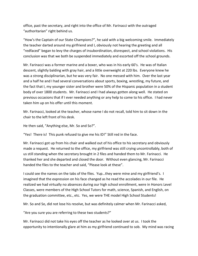office, past the secretary, and right into the office of Mr. Farinacci with the outraged "authoritarian" right behind us.

"How's the Captain of our State Champions?", he said with a big welcoming smile. Immediately the teacher darted around my girlfriend and I, obviously not hearing the greeting and all "redfaced" began to levy the charges of insubordination, disrespect, and school violations. His conclusion was that we both be suspended immediately and escorted off the school grounds.

Mr. Farinacci was a former marine and a boxer, who was in his early 60's. He was of Italian descent, slightly balding with gray hair, and a little overweight at 220 lbs. Everyone knew he was a strong disciplinarian, but he was very fair. No one messed with him. Over the last year and a half he and I had several conversations about sports, boxing, wrestling, my future, and the fact that I, my younger sister and brother were 50% of the Hispanic population in a student body of over 1800 students. Mr. Farinacci and I had always gotten along well. He stated on previous occasions that if I ever needed anything or any help to come to his office. I had never taken him up on his offer until this moment.

Mr. Farinacci, looked at the teacher, whose name I do not recall, told him to sit down in the chair to the left front of his desk.

He then said, "Anything else, Mr. So and So?".

"Yes! There is! This punk refused to give me his ID!" Still red in the face.

Mr. Farinacci got up from his chair and walked out of his office to his secretary and obviously made a request. He returned to the office, my girlfriend was still crying uncontrollably, both of us still standing when the secretary brought in 2 files and handed them to Mr. Farinacci. He thanked her and she departed and closed the door. Without even glancing, Mr. Farinacci handed the files to the teacher and said, "Please look at these".

I could see the names on the tabs of the files. Yup…they were mine and my girlfriend's. I imagined that the expression on his face changed as he read the accolades in our file. He realized we had virtually no absences during our high school enrollment, were in Honors Level Classes, were members of the High School Tutors for math, science, Spanish, and English, on the graduation committee, etc., etc. Yes, we were THE model High School Students!

Mr. So and So, did not lose his resolve, but was definitely calmer when Mr. Farinacci asked,

"Are you sure you are referring to these two students?"

Mr. Farinacci did not take his eyes off the teacher as he looked over at us. I took the opportunity to intentionally glare at him as my girlfriend continued to sob. My mind was racing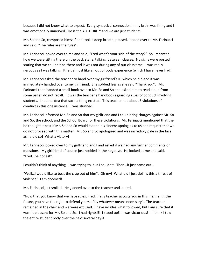because I did not know what to expect. Every synaptical connection in my brain was firing and I was emotionally unnerved. He is the AUTHORITY and we are just students.

Mr. So and So, composed himself and took a deep breath, paused, looked over to Mr. Farinacci and said, "The rules are the rules".

Mr. Farinacci looked over to me and said, "Fred what's your side of the story?" So I recanted how we were sitting there on the back stairs, talking, between classes. No signs were posted stating that we couldn't be there and it was not during any of our class time. I was really nervous as I was talking. It felt almost like an out of body experience (which I have never had).

Mr. Farinacci asked the teacher to hand over my girlfriend's ID which he did and it was immediately handed over to my girlfriend. She sobbed less as she said "Thank you". Mr. Farinacci then handed a small book over to Mr. So and So and asked him to read aloud from some page I do not recall. It was the teacher's handbook regarding rules of conduct involving students. I had no idea that such a thing existed! This teacher had about 5 violations of conduct in this one instance! I was stunned!

Mr. Farinacci informed Mr. So and So that my girlfriend and I could bring charges against Mr. So and So, the school, and the School Board for these violations. Mr. Farinacci mentioned that the he thought it best if Mr. So and So would extend his sincere apologies to us and request that we do not proceed with this matter. Mr. So and So apologized and was incredibly pale in the face as he did so! What a victory!

Mr. Farinacci looked over to my girlfriend and I and asked if we had any further comments or questions. My girlfriend of course just nodded in the negative. He looked at me and said, "Fred…be honest".

I couldn't think of anything. I was trying to, but I couldn't. Then…it just came out…

"Well…I would like to beat the crap out of him". Oh my! What did I just do? Is this a threat of violence? I am doomed!

Mr. Farinacci just smiled. He glanced over to the teacher and stated,

"Now that you know that we have rules, Fred, if any teacher accosts you in this manner in the future, you have the right to defend yourself by whatever means necessary". The teacher remained in the chair and we were excused. I have no idea what followed, but I am sure that it wasn't pleasant for Mr. So and So. I had rights!!! I stood up!!! I was victorious!!! I think I told the entire student body over the next several days!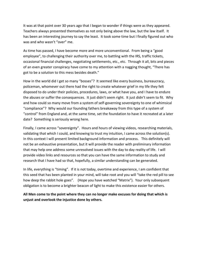It was at that point over 30 years ago that I began to wonder if things were as they appeared. Teachers always presented themselves as not only being above the law, but the law itself. It has been an interesting journey to say the least. It took some time but I finally figured out who was and who wasn't "over" me.

As time has passed, I have become more and more unconventional. From being a "good employee", to challenging their authority over me, to battling with the IRS, traffic tickets, occasional financial challenges, negotiating settlements, etc., etc. Through it all, bits and pieces of an even greater conspiracy have come to my attention with a nagging thought, "There has got to be a solution to this mess besides death."

How in the world did I get so many "bosses"? It seemed like every business, bureaucracy, policeman, whomever out there had the right to create whatever grief in my life they felt disposed to do under their policies, procedures, laws, or what have you, and I have to endure the abuses or suffer the consequences. It just didn't seem right. It just didn't seem to fit. Why and how could so many move from a system of self-governing sovereignty to one of whimsical "compliance"? Why would our founding fathers breakaway from this type of a system of "control" from England and, at the same time, set the foundation to have it recreated at a later date? Something is seriously wrong here.

Finally, I came across "sovereignty". Hours and hours of viewing videos, researching materials, validating that which I could, and knowing to trust my intuition, I came across the solution(s). In this context I will present limited background information and process. This definitely will not be an exhaustive presentation, but it will provide the reader with preliminary information that may help one address some unresolved issues with the day to day reality of life. I will provide video links and resources so that you can have the same information to study and research that I have had so that, hopefully, a similar understanding can be generated.

In life, everything is "timing". If it is not today, overtime and experience, I am confident that this seed that has been planted in your mind, will take root and you will "take the red pill to see how deep the rabbit hole goes". (Hope you have watched "Matrix"). Your only subsequent obligation is to become a brighter beacon of light to make this existence easier for others.

**All Men come to the point where they can no longer make excuses for doing that which is unjust and overlook the injustice done by others.**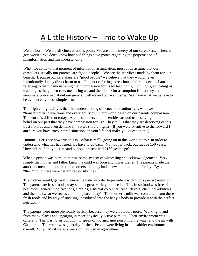### A Little History – Time to Wake Up

We are born. We are all clueless at this point. We are at the mercy of our caretakers. Then, it gets worse! We don't know how bad things have gotten regarding the perpetuation of misinformation and misunderstanding.

When we come to that moment of information assimilation, most of us assume that our caretakers, usually our parents, are "good people". We see the sacrifices made by them for our benefit. Because our caretakers are "good people" we believe that they would never intentionally do any direct harm to us. I am not referring to reprimands for misdeeds. I am referring to them demonstrating their compassion for us by feeding us, clothing us, educating us, teaching us the golden rule, mentoring us, and the like. Our assumption is that they are genuinely concerned about our general welfare and our well being. We have what we believe to be evidence by these simple acts.

The frightening reality is that this understanding of benevolent authority is what we "transfer"over to everyone and every entity out in our world based on our parents compassion. The world is different today. Are these others and the entities around us deserving of a blind belief on our part that they have compassion for us? They *tell* us that they are deserving of this trust from us and even demand it! So we should, right? (If you were attentive to the forward I am sure you have encountered situations in your life that make you question this).

Hmmm…Let's see how true this is. What is really going on in this world today? In order to understand what has happened, we have to go back. Not too far back, but maybe 150 years. How did the family picture and outlook present itself 150 years ago?

When a person was born, there was some system of witnessing and acknowledgement. Very simply the mother and father knew the child was born and it was theirs. The parents made the announcement and notification to others that they had a new addition to the family. By being "their" child there were certain responsibilities.

The mother would, generally, nurse the baby in order to provide it with God's perfect nutrition. The parents ate fresh foods, maybe not a great variety, but fresh. This fresh food was free of pesticides, genetic modifications, steroids, artificial colors, artificial flavors, chemical additives, and the like (what we see as common place today). The mother's milk was converted from these fresh foods and by way of suckling, introduced into the baby's body to provide it with the perfect nutrition.

The parents were more physically healthy because they were outdoors more. Walking to and from many places and engaging in more physically active pursuits. Their environment was different. The was no air pollution to speak of, no airplanes poisoning the water and the air with Chemtrails. The water was generally fresher. People were living in an healthier environment overall. Why? Most were farmers or involved in agriculture.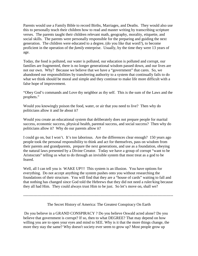Parents would use a Family Bible to record Births, Marriages, and Deaths. They would also use this to personally teach their children how to read and master writing by transcribing scripture verses. The parents taught their children relevant math, geography, morality, etiquette, and social skills. The parents were personally responsible for the preparing and guiding the next generation. The children were educated to a degree, (do you like that word?), to become proficient in the operation of the *family* enterprise. Usually, by the time they were 13 years of age.

Today, the food is polluted, our water is polluted, our education is polluted and corrupt, our families are fragmented, there is no longer generational wisdom passed down, and our lives are not our own. Why? Because we believe that we have a "government" that cares. So, we abandoned our responsibilities by transferring authority to a system that continually fails to do what we think should be moral and simple and they continue to make life more difficult with a false hope of improvement.

"Obey God's commands and Love thy neighbor as thy self. This is the sum of the Laws and the prophets."

Would you knowingly poison the food, water, or air that you need to live? Then why do politicians allow it and lie about it?

Would you create an educational system that deliberately does not prepare people for marital success, economic success, physical health, parental success, and social success? Then why do politicians allow it? Why do our parents allow it?

I could go on, but I won't. It's too laborious. Are the differences clear enough? 150 years ago people took the personal responsibility to think and act for themselves, pass on wisdom from their parents and grandparents, prepare the next generations, and use as a foundation, obeying the natural laws presented by a Divine Creator. Today we have a group of corrupt "want to be Aristocrats" telling us what to do through an invisible system that most treat as a god to be feared.

Well, all I can tell you is WAKE UP!!! This system is an illusion. You have options for everything. Do not accept anything the system pushes onto you without researching the foundations of their structure. You will find that they are a "house of cards" waiting to fall and that nothing has changed since God told the Hebrews that they did not need a ruler/king because they all had Him. They could always trust Him to be just. So let's move on, shall we?

--------------------------------------------------------------------------------------------------------------------

#### The Secret History of America: The Greatest Conspiracy On Earth

Do you believe in a GRAND CONSPIRACY ? Do you believe Oswald acted alone? Do you believe that government is corrupt? If so, then to what DEGREE? That may depend on how willing you are to open your eyes and mind to SEE. Why is it that the more things change, the more they stay the same? Why doesn't society ever seem to grow up? Most people grow up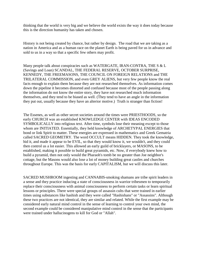thinking that the world is very big and we believe the world exists the way it does today because this is the direction humanity has taken and chosen.

History is not being created by chance, but rather by design. The road that we are taking as a nation in America and as a human race on the planet Earth is being paved for us in advance and sold to us in a way so that a specific few others may profit.

Many people talk about conspiracies such as WATERGATE, IRAN-CONTRA, THE S & L (Savings and Loan) SCANDAL, THE FEDERAL RESERVE, OCTOBER SURPRISE, KENNEDY, THE FREEMASONS, THE COUNCIL ON FOREIGN RELATIONS and THE TRILATERAL COMMISSION, and even GREY ALIENS, but very few people know the real facts enough to explain them because they are not researched themselves. As information comes down the pipeline it becomes distorted and confused because most of the people passing along the information do not know the entire story, they have not researched much information themselves, and they tend to be biased as well. (They tend to have an angle in the information they put out, usually because they have an alterior motive.) Truth is stranger than fiction!

The Essenes, as well as other secret societies around the times were PRIESTHOODS, so the early CHURCH was an established KNOWLEDGE CENTER with IDEAS ENCODED SYMBOLICALLY into religious text. After time, symbols lose their meaning except to those whom are INITIATED. Essentially, they held knowledge of ARCHETYPAL ENERGIES that bond or link Spirit to matter. These energies are expressed in mathematics and Greek Gematria called SACRED GEOMETRY. The word OCCULT means HIDDEN. They took the knowledge, hid it, and made it appear to be EVIL, so that they would know it, we wouldn't, and they could then control us a lot easier. This allowed an early guild of bricklayers, or MASONS, to be established, making it possible to build great pyramids, etc. Now, if everybody knew how to build a pyramid, then not only would the Pharaoh's tomb be no greater than Joe neighbor's cottage, but the Masons would also lose a lot of money building great castles and churches throughout Europe. This was the basis for early CAPITALISM, but we will discuss this later.

SACRED MUSHROOM ingesting and CANNABIS-smoking shamans are tribe spirit leaders in a sense and they practice inducing a state of consciousness in warrior tribesmen to temporarily replace their consciousness with animal consciousness to perform certain tasks or learn spiritual lessons or principles. There were special groups of assassin cults that were trained in earlier times using substances like hashish and they were called "Hashishans" or "Assassins". Although these two practices are not identical, they are similar and related. While the first example may be considered early natural mind control in the sense of learning to control your own mind, the second example could be considered manipulative mind control in the sense that the participants were trained under hallucinogens to kill for God or "Allah".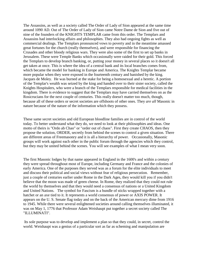The Assassins, as well as a society called The Order of Lady of Sion appeared at the same time around 1090 AD. Out of The Order of Lady of Sion came Notre Dame de Sion and five out of nine of the founders of the KNIGHTS TEMPLAR came from this order. The Templars and Assassins had interlocking affairs and philosophies. They also had ongoing fights as well as commercial dealings. The Templars pronounced vows to poverty and in the meantime amassed great fortunes for the church (really themselves), and were responsible for financing the Crusades and other bloody religious wars. They were also some of the first to set up banks in Jerusalem. These were Temple Banks which occasionally were raided for their gold. This forced the Templars to develop branch banking, or, putting your money in several places so it doesn't all get taken at once. This is where the idea of a central bank and its local branches comes from, which became the model for banking in Europe and America. The Knights Templar became more popular when they were exposed in the fourteenth century and banished by the king. Jacques de Moley. He was burned at the stake for being a homosexual and a heretic. A portion of the Templar's wealth was seized by the king and handed over to their sister society, called the Knights Hospitalers, who were a branch of the Templars responsible for medical facilities in the kingdom. There is evidence to suggest that the Templars may have carried themselves on as the Rosicrucians for the next couple of centuries. This really doesn't matter too much, though, because all of these orders or secret societies are offshoots of other ones. They *are all* Masonic in nature because of the nature of the information which they possess.

These same secret societies and old European bloodline families are in control of the world today. To better understand what they do, we need to look at their philosophies and ideas. One motto of theirs is "Ordo ab Chao" or "order out of chaos". First they create CHAOS, then they propose the solution, ORDER, secretly from behind the scenes to control a given situation. There are different areas of Freemasonry and it is all a hierarchy of power. Occasionally, Masonic groups will work against each other in the public forum through the agencies which they control, but they may be united behind the scenes. You will see examples of what I mean very soon.

The first Masonic lodges by that name appeared in England in the 1600's and within a century they were spread throughout most of Europe, including Germany and France and the colonies of early America. One of the purposes they served was as a forum for the elite individuals to meet and discuss their political and social views without fear of religious persecution. Remember, just a couple of centuries earlier under Rome in the Dark Ages, they would kill you if you didn't believe that the moon was made of green cheese. In Rome, they realized that they could not rule the world by themselves and that they would need a consensus of nations or a United Kingdom and United Nations. The symbol for Fascism is a bundle of sticks wrapped together with a hatchet or an axe tied to it. It represents a world consensus of power or AXIS POWER. It appears on the U. S. Senate flag today and on the back of the American mercury dime from 1916 to 1945. While there were several enlightened societies around calling themselves illuminated, it was on May 1, 1776 that Professor Adam Weishaupt put together a secret society called The "ILLUMINATI".

Its sole purpose was to develop and implement a plan so that they could, in secret, control the world. Weishaupt was a genius of a particular sort as far as scheming and manipulation are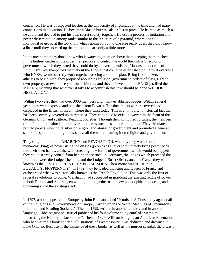concerned. He was a respected teacher at the University of Ingolstadt at the time and had many connections in education. He became a Mason but was also a Jesuit priest. He learned as much as he could and decided to put his own secret society together. He used a process of initiation and power dissemination among ranks similar to the structure of a pyramid, where one sole individual or group at the top know what's going on but no one else really does, they only know a little until they succeed up the ranks and learn only a little more.

In the meantime, they don't know who is watching them or above them keeping them in check. In the highest circles of the order they propose to control the world through a One-world government, which they stated they could do by converting existing Masons to concepts of Illuminism. Weishaupt told them about the Utopia that could be established on Earth if everyone who KNEW would secretly work together to bring about this plan. Being free-thinkers and atheists to begin with, they proposed abolishing religion, government, orders of class, right to own property, or even raise your own children; and they believed that the ENDS justified the MEANS, meaning that whatever it takes to accomplish this task should be done WITHOUT HESITATION.

Within two years they had over 3000 members and many established lodges. Within several years they were exposed and banished from Bavaria. The documents were recovered and displayed in the British museum where they exist today. This is an important historical fact that has been severely covered up in America. They continued to exist, however, in the form of the German Union and scattered Reading Societies. Through their combined fortunes, the members of the Illuminati gained control over the literary societies and printing press. They circulated printed papers showing falsities of religion and abuses of government and promoted a general state of desperation throughout society, all the while blaming it on religion and government.

They sought to promote ANARCHY and REVOLUTION, whereby they would strip the monarchy (king) of power using the classes (people) as a lever to ultimately bring power back into their own hands, all the while creating new forms of government which would be puppets they could secretly control from behind the scenes. In Germany, the lodges which preceded the Illuminati were the Lodge Theodore and the Lodge of Strict Observance. In France they were known as the GRAND ORIENT TEMPLE MASONS. Their motto was "LIBERTY, EQUALITY, FRATERNITY". In 1789, they beheaded the King and Queen of France and orchestrated what was historically known as the French Revolution. This was only the first of several revolutions to come. Weishaupt had succeeded in grabbing the existing reigns of power in both Europe and America, entwining them together using new philosophical concepts, and tightening all of the existing slack.

In 1797, a book appeared in Europe by John Robison called "Proofs of A Conspiracy against all of the Religions and Governments of Europe, Carried on in the Secret Meetings of Freemasons, Illuminati and Reading Societies". Then in 1799, written in another country and in another language, Abbe Augustine Barruel published his four-volume study entitled "Memoirs Illustrating the History of Jacobinism". Then in 1826, William Morgan, an American Freemason who had written a book entitled "Illustrations of Freemasonry", was abducted and drowned in Lake Ontario. Because of the existence of these books, as well as the murder scandal, there was a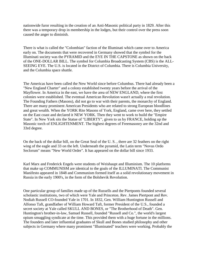nationwide furor resulting in the creation of an Anti-Masonic political party in 1829. After this there was a temporary drop in membership in the lodges, but their control over the press soon caused the anger to diminish.

There is what is called the "Colombian" faction of the Illuminati which came over to America early on. The documents that were recovered in Germany showed that the symbol for the Illuminati society was the PYRAMID and the EYE IN THE CAPSTONE as shown on the back of the ONE-DOLLAR BILL. The symbol for Columbia Broadcasting System (CBS) is the ALL-SEEING EYE. The U.S. is located in the District of Columbia. There is Columbia University, and the Columbia space shuttle.

The Americas have been called the New World since before Columbus. There had already been a "New England Charter" and a colony established twenty years before the arrival of the Mayflower. In America in the east, we have the area of NEW ENGLAND, where the first colonies were established. The eventual American Revolution wasn't actually a real revolution. The Founding Fathers (Masons), did not go to war with their parents, the monarchy of England. There are many prominent American Presidents who are related to strong European bloodlines and great wealth. When the YORK Rite Masons of York, England, came over here, they settled on the East coast and declared it NEW YORK. Then they went to work to build the "Empire State". In New York sits the Statue of "LIBERTY", given to us by FRANCE, holding up the Masonic torch of ENLIGHTENMENT. The highest degrees of Freemasonry are the 32nd and 33rd degree.

On the back of the dollar bill, on the Great Seal of the U. S. , there are 32 feathers on the right wing of the eagle and 33 on the left. Underneath the pyramid, the Latin term "Novus Ordo Seclorum" means "New World Order". It has appeared on the dollar bill since 1933.

Karl Marx and Frederick Engels were students of Weishaupt and Illuminism. The 10 platforms that make up COMMUNISM are identical to the goals of the ILLUMINATI. The Communist Manifesto appeared in 1848 and Communism formed itself as a solid revolutionary movement in Russia in the early 1900's, in the form of the Bolshevik Revolution.

One particular group of families made up of the Russells and the Piertponts founded several scholastic institutions, two of which were Yale and Princeton. Rev. James Piertpont and Rev. Nodiah Russell CO-founded Yale in 1701. In 1832, Gen. William Huntington Russell and Alfonso Taft, grandfather of William Howard Taft, former President of the U.S., founded a secret society at Yale called SKULL AND BONES, or "The Brotherhood of Death". Gen. Huntington's brother-in-law, Samuel Russell, founded "Russell and Co.", the world's largest opium smuggling syndicate at the time. This provided them with a huge fortune in the millions. The founders and later influential graduates of Skull and Bones studied philosophy and other subjects in Germany where many prominent "Illuminated" teachers were working. Probably the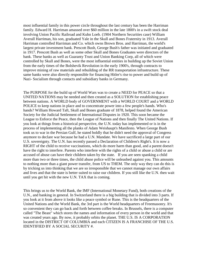most influential family in this power circle throughout the last century has been the Harriman family. Edward H. Harriman amassed over \$60 million in the late 1800's in a swift stock deal involving Union Pacific Railroad and Kuhn Loeb. (1904 Northern Securities case) William Averall Harriman, his son, graduated Yale in the Skull and Bones Fraternity in 1913. Averall Harriman controlled Harriman and Co. which owns Brown Bros. and Harriman, the world's largest private investment bank. Prescott Bush, George Bush's father was initiated and graduated in 1917. Prescott Bush as well as some other Skull and Bones Graduates were directors of the bank. These banks as well as Guaranty Trust and Union Banking Corp, all of which were controlled by Skull and Bones, were the most influential entities in building up the Soviet Union from the early times of the Bolshevik Revolution in the early 1900's, through contracts to improve mining of raw materials and rebuilding of the RR transportation infrastructure. These same banks were also directly responsible for financing Hitler's rise to power and build up of Nazi- Socialism through contacts and subsidiary banks in Germany.

The PURPOSE for the build up of World Wars was to create a NEED for PEACE so that a UNITED NATIONS may be needed and then created as a SOLUTION for establishing peace between nations. A WORLD body of GOVERNMENT with a WORLD COURT and a WORLD POLICE to keep nations in place and to concentrate power into a few people's hands. Who's hands? William Howard Taft, Skull and Bones graduate of 1878, helped found the American Society for the Judicial Settlement of International Disputes in 1920. This soon became the League to Enforce the Peace, then the League of Nations and then finally The United Nations. If you look at things from a historical perspective, the U.N. today has implemented or is in the process of implementing all the planks of Adam Weishaupt's Manifesto. When George Bush took us to war in the Persian Gulf, he stated boldly that he didn't need the approval of Congress anymore to declare war because he had a U.N. Mandate. We have sacrificed a large part of our U.S. sovereignty. The U.N. has recently passed a Declaration of Children's Right's. It is now a RIGHT of the child to receive vaccinations, which do more harm than good, and a parent doesn't have the right to interfere. Parents who interfere with the rights of a child or abuse a child or are accused of abuse can have their children taken by the state. If you are seen spanking a child more than two or three times, the child abuse police will be unleashed against you. This amounts to nothing more than a giant power transfer, from US to THEM. The only way they can do this is by tricking us into thinking that we are so irresponsible that we cannot manage our own affairs and lives and that the state is better suited to raise our children. If you still like the U.N. then wait until you get hit with the new U.N. TAX that is coming.

This brings us to the World Bank, the IMF (International Monetary Fund), both creations of the U.N., and banking in general. In Switzerland there is a big building that is divided into 3 parts. If you look at it from above it looks like a peace symbol or Rune. This is the headquarters of the United Nations and the World Bank, the 3rd part is the World headquarters of Freemasonry. It's so convenient they can go back and forth between coffee breaks. In Brussels, there is a computer called "The Beast" which stores the names and information of every person in the world and that was created years ago. By now, it probably orbits the planet. THE U.S. IS A CORPORATION located in the DISTRICT OF COLUMBIA and each CITIZEN IS A FRANCHISE OF THE U.S. IDENTIFIED BY A SOCIAL SECURITY #.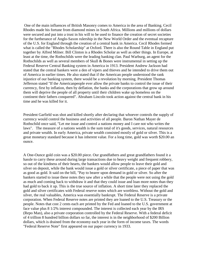One of the main influences of British Masonry comes to America in the area of Banking. Cecil Rhodes made his fortune from diamond mines in South Africa. Millions and millions of dollars were secured and put into a trust in his will to be used to finance the creation of secret societies for the furtherance of Anglo-Saxon rulership in the New World Order and the eventual recapture of the U.S. for England through the creation of a central bank in America. Cecil Rhodes formed what is called the "Rhodes Scholarship" at Oxford. There is also the Round Table in England put together by Alfred Milner. Bill Clinton is a Rhodes Scholar as well as other things. In Europe, at least at the time, the Rothschilds were the leading banking clan. Paul Warburg, an agent for the Rothschilds as well as several members of Skull & Bones were instrumental in setting up the Federal Reserve Central Banking system in America in 1913. President Andrew Jackson had stated that the central bankers were a den of vipers and thieves and he intended to drive them out of America in earlier times. He also stated that if the American people understood the rank injustice of our banking system, there would be a revolution by morning. President Thomas Jefferson stated "If the Americanpeople ever allow the private banks to control the issue of their currency, first by inflation, then by deflation, the banks and the corporations that grow up around them will deprive the people of all property until their children wake up homeless on the continent their fathers conquered". Abraham Lincoln took action against the central bank in his time and he was killed for it.

President Garfield was shot and killed shortly after declaring that whoever controls the supply of currency would control the business and activities of all people. Baron Nathan Mayer de Rothschild once said, "Let me issue and control a nations money and I care not who writes the laws". The measure of a nations wealth is the sum total of it's goods, services, natural resources and private wealth. In early America, private wealth consisted mostly of gold or silver. This is a great monetary standard because it has inherent value. For a long time, gold was worth \$20.00 an ounce.

A One-Ounce gold coin was a \$20.00 piece. Our grandfathers and great grandfathers found it a hassle to carry these around during large transactions due to heavy weight and frequent robbery, so out of the kindness of their hearts, the bankers would allow people to leave their gold and silver on deposit, while the bank would issue a gold or silver certificate, a piece of paper that was as good as gold. It said on the bill, "Pay to bearer upon demand in gold or silver. So after the bankers started to issue these notes they saw after a while that the people were not using the gold as much and coming back to withdraw it and that they could issue and loan more notes than they had gold to back it up. This is the true source of inflation. A short time later they replaced the gold and silver certificates with Federal reserve notes which are worthless. Without the gold and silver, the real valuables, America was essentially bankrupt. The Federal Reserve is a private corporation. When Federal Reserve notes are printed they are loaned to the U.S. Treasury or the people. Notes that cost 2 cents each are printed by the Fed and loaned to the U.S. government at face value plus 8 1/2% interest compounded. The interest is collected each year by the IRS (Repo Man), also a private corporation controlled by the Federal Reserve. With a federal deficit of 4 trillion 8 hundred billion dollars so far, the interest is in the neighborhood of \$200 Billion dollars, which is drained from the economy each year in the form of income taxes. The words "Federal Reserve Note" first appeared on our paper currency in 1933.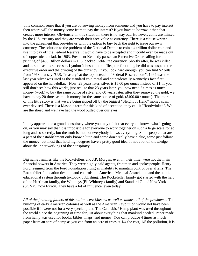It is common sense that if you are borrowing money from someone and you have to pay interest then where will the money come from to pay the interest? If you have to borrow it then that creates more interest. Obviously, in this situation, there is no way out. However, coins are minted by the U.S. treasury and they are worth their face value as currency. There is a clause written into the agreement that provides us with the option to buy back the right to issue our own currency. The solution to the problem of the National Debt is to coin a 4 trillion dollar coin and use it to pay off the Federal Reserve. It would have to be accepted and it could even be made out of copper nickel clad. In 1963, President Kennedy passed an Executive Order calling for the printing of \$450 Billion dollars in U.S. backed Debt-Free currency. Shortly after, he was killed and as soon as his successor, Lyndon Johnson took office, the first thing he did was suspend the executive order and the printing of the currency. If you look hard enough, you can find \$2 bills from 1963 that say "U.S. Treasury" at the top instead of "Federal Reserve note". 1964 was the last year silver was used as the standard coin metal and coincidentally Kennedy's face first appeared on the half-dollar. Now, 23 years later, silver is \$5.00 per ounce instead of \$1. If you still don't see how this works, just realize that 23 years later, you now need 5 times as much money (work) to buy the same ounce of silver and 60 years later, after they removed the gold, we have to pay 20 times as much money for the same ounce of gold. (\$400.00 / ounce). The moral of this little story is that we are being ripped off by the biggest "Sleight of Hand" money scam ever devised. There is a Masonic term for this kind of deception, they call it "Hoodwinked". We are the sheep and we have had the wool pulled over our eyes.

It may appear to be a grand conspiracy where you may think that everyone knows what's going on, or you may say that it is impossible for everyone to work together on such a large scale for so long and so secretly, but the truth is that not everybody knows everything. Some people that are a part of the establishment only know a little and some don't really have a clue, some just follow the money, but most that hold high degrees have a pretty good idea, if not a lot of knowledge about the inner workings of the conspiracy.

Big name families like the Rockefellers and J.P. Morgan, even in their time, were not the main financial powers in America. They were highly paid agents, frontmen and spokespeople. Henry Ford resigned from the Ford Foundation citing an inability to maintain control over affairs. The Rockefeller foundation ties into and controls the American Medical Association and the public educational system through textbook publishing. The Rockefeller family got started with the help of the Harriman family, the Whitneys (Eli Whitney's family) and Standard Oil of New York (SONY), now Exxon. They have a lot of influence, even today.

*All of the founding fathers of this nation were Masons as well as almost all of the presidents*. The building of early American colonies as well as the American Revolution would not have been possible if it were not for a very special plant. The Cannabis / Hemp plant was used throughout the world since the beginning of time for just about everything that mankind needed. Paper made from hemp was used for books, bibles, maps, and money. You can produce 4 times as much paper from an acre of hemp as you can from an acre of trees at 1/4 the cost, 1/5 the pollution, it is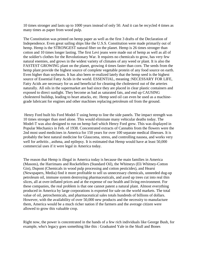10 times stronger and lasts up to 1000 years instead of only 50. And it can be recycled 4 times as many times as paper from wood pulp.

The Constitution was printed on hemp paper as well as the first 3 drafts of the Declaration of Independence. Even great sailing ships like the U.S.S. Constitution were made primarily out of hemp. Hemp is the STRONGEST natural fiber on the planet. Hemp is 26 times stronger than cotton and 10 times longer lasting. The first Levi jeans were made out of hemp as well as all of the soldier's clothes for the Revolutionary War. It requires no chemicals to grow, has very few natural enemies, and grows in the widest variety of climates of any weed or plant. It is also the FASTEST GROWING plant on the planet, growing 4 times faster than corn. The seeds from the hemp plant provide the highest source of complete vegetable protein of any food source on earth. Even higher than soybeans. It has also been re-realized lately that the hemp seed is the highest source of Essential Fatty Acids in the world. ESSENTIAL, meaning :NECESSARY FOR LIFE, Fatty Acids are necessary for us and beneficial for cleaning the cholesterol out of the arteries naturally. All oils in the supermarket are bad since they are placed in clear plastic containers and exposed to direct sunlight. They become as bad as saturated fats, and end up CAUSING cholesterol buildup, leading to heart attacks, etc. Hemp seed oil can even be used as a machinegrade lubricant for engines and other machines replacing petroleum oil from the ground.

Henry Ford built his Ford Model-T using hemp to line the side panels. The impact strength was 10 times stronger than steel alone. This would eliminate many vehicular deaths today. The Model-T was also designed to run on hemp fuel which Henry Ford grew. This was displayed in Popular Mechanics in Feb. of 1938. Concentrated extracts of Cannabis from the flowers were the 2nd most used medicines in America for 150 years for over 100 separate medical illnesses. It is probably the best natural medicine for Glaucoma, stress, and controlling nausea, and works very well for arthritis , asthma, and epilepsy. It is estimated that Hemp would have at least 50,000 commercial uses if it were legal in America today.

The reason that Hemp is illegal in America today is because the main families in America (Masons), the Harrimans and Rockefellers (Standard Oil), the Whitneys (Eli Whitney-Cotton Gin), Dupont (Chemicals in wood pulp processing and cotton pesticides), and Hearst (Newspapers, Media) find it more profitable to sell us unnecessary chemicals, unneeded dug-up petroleum oil, immune system destroying pharmaceuticals, and axed up trees cut into real thin slices, all at over-inflated prices and at the expense of our health and living environment. For these companies, the real problem is that one cannot patent a natural plant. Almost everything produced in America by large corporations is exported for sale on the world markets. The total value of oil, petrochemicals, and pharmaceutical sales totals hundreds of billions of dollars. However, with the availability of over 50,000 new products and the necessity to manufacture them, America would be a much richer nation if the farmers and the average citizen were allowed to grow this valuable crop.

Right now, the power is concentrated in the hands of a few rich individuals like George Bush, for example, who's legacy goes something like this : Graduated Yale in the Skull and Bones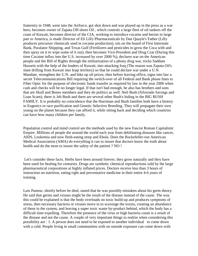fraternity in 1948, went into the Airforce, got shot down and was played up in the press as a war hero, becomes owner of Zapata Off-shore Oil , which controls a large fleet of oil tankers off the coast of Kuwait, becomes director of the CIA, working to introduce cocaine and heroin in large part to America, is made Director of Eli Lilly Pharmaceuticals by Dan Quayle's Father (Lilly produces precursor chemicals used in cocaine production), sits on the board of First Interstate Bank, Puralator Shipping, and Texas Gulf (Fertilizers and pesticides to grow the Coca with and then spray on it to wipe some of it out), then becomes Vice-President and Drug Czar (During this time Cocaine influx into the U.S. increased by over 2000 %), declares war on the American people and the Bill of Rights through the militarization of a phony drug war, tricks Saddam Hussein with the help of the leaders of Kuwait, into attacking Iraq (The reason was Zapata Oil's slant drilling from Kuwait into Iraqi territory) so that he could declare war under a U.N. Mandate, strengthen the U.N. and hike up oil prices, then before leaving office, signs into law a secret Telecommunications Bill requiring the switch-over of all Federal and Bank phone lines to Fiber Optic for the purpose of electronic funds transfer as required by law in the year 2000 when cash and checks will be no longer legal. If that isn't bad enough, he also has brothers and sons that are Skull and Bones members and they do politics as well. Neil Bush (Silverado Savings and Loan Scam), there is Jeb Bush and there are several other Bush's hiding in the BIG BUSH FAMILY. It is probably no coincidence that the Harriman and Bush families both have a history in Eugenics or race purification and Genetic Selective Breeding. They will propagate their own young on the planet because they can afford it, while sitting back and deciding which countries can have how many children per family.

Population control and mind control are the methods used by the new Fascist Roman Capitalistic Empire. Millions of people die around the world each year from debilitating diseases like cancer, AIDS, Leukemia and now flesh-eating strep and Ebola. Does the Rockefeller-run American Medical Association (AMA) do everything it can to insure that doctors know the truth about health and do the most to insure the safety of the patient ? NO !

Let's consider these facts. Herbs have been around forever, they grow naturally and they have been used for healing for centuries. Drugs are synthetic chemical reproductions sold by the large pharmaceutical corporations at highly inflated prices. Doctors receive less than 3 hours of instruction on nutrition, eating right and preventative medicine in their entire 4-6 years of training.

Luis Pasteur, shortly before he died, stated that he was possibly mistaken about his germ theory. He said that germs and viruses might be the result of the disease instead of the cause. The way this could be explained is that the body overloads on toxic build-up and produces symptoms of stress, then necessary bacteria or viruses move in to scavenge the toxins, creating an abundance of these in the system, and leaving a super toxic waste by-product behind, which the body has a difficult time expelling. Therefore the presence of the virus or high bacteria count is a result of the disease and not the cause. A couple of very important things to realize when considering this possibility are : 1. A person does not need to be exposed to another individual to come down with a cold. People living in small communities with no outside exposure can come down with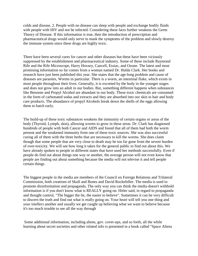colds and disease. 2. People with no disease can sleep with people and exchange bodily fluids with people with HIV and not be infected. Considering these facts further weakens the Germ Theory of Disease. If this information is true, then the introduction of prescription and pharmaceutical drugs would only serve to mask the symptoms of the problem and slowly destroy the immune system since these drugs are highly toxic.

There have been several cures for cancer and other diseases but these have been viciously suppressed by the establishment and pharmaceutical industry. Some of these include Raymond Rife and the Rife Microscope, Harry Hoxsey, Cancell, Essiac, and Ozone. The latest and most promising information so far comes from a woman named Dr. Hulda Clark. Her books and research have just been published this year. She states that the age-long problem and cause of diseases are parasites, Worms in particular. There is a worm, an intestinal fluke, which exists in most people throughout their lives. Generally, it is excreted by the body in the younger stages and does not grow into an adult in our bodies. But, something different happens when substances like Benzene and Propyl Alcohol are abundant in our body. These toxic chemicals are consumed in the form of carbonated sodas and extracts and they are absorbed into our skin in hair and body care products. The abundance of propyl Alcohols break down the shells of the eggs allowing them to hatch early.

The build-up of these toxic substances weakens the immunity of certain organs or areas of the body (Thyroid, Lymph, skin), allowing worms to grow in these areas. Dr. Clark has diagnosed hundreds of people with both Cancer and AIDS and found that all of them had both the worm present and the weakened immunity from one of these toxic sources. She was also successful curing all of them with the three herbs that are necessary to kill the worms. She does claim though that some people that are very close to death may be too far gone from the severe burden of over-toxicity. We will see how long it takes for the general public to find out about this. We have already spoken to people in different states that have used her methods successfully. Even if people do find out about things one way or another, the average person will not even know that people are finding out about something because the media will not televise it and tell people certain things.

The biggest people in the media are members of the Council on Foreign Relations and Trilateral Commission, both creations of Skull and Bones and David Rockefeller. The media is used to promote disinformation and propaganda. The only way you can think the media doesn't withhold information is if you don't know what is REALLY going on. Hitler said, in regard to propaganda and thought control, "The bigger the lie, the easier to believe". Sometimes it can be very difficult to discern the truth and find out what is really going on. Your heart will tell you one thing and your intellect another and usually we get caught up believing what we want to believe because it's too much trouble to see all the way through

Some additional information, including aliens, gov. cover-ups, and so forth, all the while learning about secret societies and other related info is presented in a book called "Space Aliens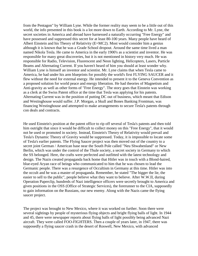from the Pentagon" by William Lyne. While the former reality may seem to be a little out of this world, the info presented in this book is a lot more down to Earth. According to Mr. Lyne, the secret societies in America and abroad have harnessed a naturally occurring "Free Energy" and have possessed and suppressed this secret for at least 80-100 years. Many people have heard of Albert Einstein and his Theory of Relativity (E=MC2). Most would consider him a genius although it is known that he was a Grade School dropout. Around the same time lived a man named Nikola Tesla. He came to America in the early 1900's as a scientist and inventor. He was responsible for many great discoveries, but it is not mentioned in history very much. He was responsible for Radio, Television, Fluorescent and Neon lighting, Helicopters, Lasers, Particle Beams and Alternating Current. If you haven't heard of him you should at least wonder why. William Lyne is himself an inventor and scientist. Mr. Lyne claims that when Tesla came to America, he had under his arm blueprints for possibly the world's first FLYING SAUCER and it flew without the need for external energy. He intended to present it to the Geneva Convention as a proposed solution for world peace and energy liberation. He had theories of Magnetism and Anti-gravity as well as other forms of "Free Energy". The story goes that Einstein was working as a clerk at the Swiss Patent office at the time that Tesla was applying for his patents. Alternating Current was in the position of putting DC out of business, which meant that Edison and Westinghouse would suffer. J.P. Morgan, a Skull and Bones Banking Frontman, was financing Westinghouse and attempted to make arrangements to secure Tesla's patents through con deals and contracts.

He used Einstein's position at the patent office to rip off several of Tesla's patents and then told him outright that since it would be difficult to collect money on this "Free Energy", that it would not be used or promoted in society. Instead, Einstein's Theory of Relativity would prevail and Tesla's Dynamic Theory of Gravity would be suppressed. Today, it is impossible to locate some of Tesla's earlier patents. The Flying Saucer project was then moved out of the country to a secret joint German / American base near the South Pole called "Neu Shwabenland" or New Berlin, which was under the control of the Thule society, a secret society in Germany to which the SS belonged. Here, the crafts were perfected and outfitted with the latest technology and design. The Nazis created propaganda back home that Hitler was in touch with a Blond-haired, blue-eyed Aryan race of beings who communicated to him that he was chosen to lead the Germanic people. There was a resurgence of Occultism in Germany at this time. Hitler was into the occult and he was a master of propaganda. Remember, he stated "The bigger the lie, the easier to sell to the public", people believe what they want to believe. After W.W.II, during Operation Paperclip, hundreds of Nazi intelligence officers were secretly brought to America and given positions in the OSS (Office of Strategic Services), the forerunner to the CIA, supposedly to gain information on the Russians, our new enemy. Along with the Nazis came the flying saucer project.

The project was brought to New Mexico, where it was worked on further. Soon there were several sightings by people of mysterious flying objects and bright flying balls of light. In 1944 and 45, there were newspaper reports about flying balls of light possibly being advanced Nazi aircraft. They were called FOO-FIGHTERS. Then a couple of years later, in 1947, there was supposedly a flying saucer crash in the desert of Roswell, New Mexico, with advanced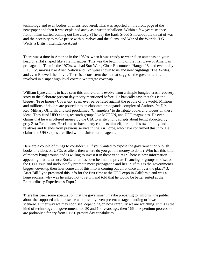technology and even bodies of aliens recovered. This was reported on the front page of the newspaper and then it was explained away as a weather balloon. Within a few years science fiction films started coming out like crazy. (The day the Earth Stood Still-about the threat of war and the necessity to make peace with ourselves and the aliens, and War of the Worlds-H.G. Wells, a British Intelligence Agent).

There was a time in America in the 1950's, when it was trendy to wear alien antennas on your head or a Hat shaped like a flying saucer. This was the beginning of the first wave of American propaganda. Then in the 1970's, we had Star Wars, Close Encounters, Hanger 18, and eventually E.T. T.V. movies like Alien Nation and "V" were shown to us and now Sightings, The X-files, and even Roswell the movie. There is a consistent theme that suggests the government is involved in a super high level cosmic Watergate cover-up.

William Lyne claims to have seen this entire drama evolve from a simple bungled crash recovery story to the elaborate present day theory mentioned before. He basically says that this is the biggest "Free Energy Cover-up" scam ever perpetrated against the people of the world. Millions and millions of dollars are poured into an elaborate propaganda complex of Authors, Ph.D.'s, Ret. Military Officials and self proclaimed "Channelers" to distribute books and videos on these ideas. They fund UFO expos, research groups like MUFON, and UFO magazines. He even claims that he was offered money by the CIA to write phony scripts about being abducted by grey Zeta-Reticulans. He claims to have many contacts himself, through his own family and relatives and friends from previous service in the Air Force, who have confirmed this info. He claims the UFO expos are filled with disinformation agents.

Here are a couple of things to consider : 1. If you wanted to expose the government or publish books or videos on UFOs or aliens then where do you get the money to do it ? Who has this kind of money lying around and is willing to invest it in these ventures? There is new information appearing that Lawrence Rockefeller has been behind the private financing of groups to discuss the UFO issue and undoubtedly promote more propaganda and lies. 2. If this is the government's biggest cover-up then how come all of this info is coming out all at once all over the place? 3. After Bill Lyne presented this info for the first time at the UFO expo in California and was a huge success, why was he asked not to return and told that he would be better suited at the Extraordinary Experiences Expo ?

There has been some speculation that the government maybe preparing to "inform" the public about the supposed alien presence and possibly even present a staged landing or invasion scenario. Either way we may soon see, depending on how carefully we are watching. If this is the kind of technology the government had 50 and 100 years ago, then 166 mhz pentium processors are probably a far cry from REAL present day capabilities.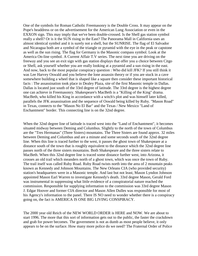One of the symbols for Roman Catholic Freemasonry is the Double Cross. It may appear on the Pope's headdress or on the advertisement for the American Lung Association or even in the EXXON sign. This may imply that we've been double-crossed. Is the Shell gas station symbol really a shell? Or is it the SUN rising in the East? The Panorama Mall in California uses an almost identical symbol and it is surely not a shell, but the SUNRISE. The flag of El Salvador and Nicaragua both are a symbol of the triangle or pyramid with the eye in the peak or capstone as well as the sun rising. The flag for Germany is the Masonic compass symbol. Look at the America On-line symbol. A Current Affair T.V series. The next time you are driving on the freeway and you see an exit sign with gas station displays that offer you a choice between Citgo or Shell, ask yourself whether you are really looking at a pyramid and a sun rising in the east. And now, back to the most popular conspiracy question : Who did kill JFK? If you still think it was Lee Harvey Oswald and you believe the lone assassin theory or if you are stuck in a cave somewhere building a wheel that is shaped like a square then consider these important historical facts : The assassination took place in Dealey Plaza, site of the first Masonic temple in Dallas. Dallas is located just south of the 33rd degree of latitude. The 33rd degree is the highest degree one can achieve in Freemasonry. Shakespeare's MacBeth is a "Killing of the King" drama. MacBeth, who killed his King in accordance with a witch's plot and was himself later killed, parallels the JFK assassination and the sequence of Oswald being killed by Ruby. "Mason Road" in Texas, connects to the "Mason No El Bar" and the Texas / New Mexico "Land of Enchantment" border. This connecting line is on the 32nd degree.

When the 32nd degree line of latitude is traced west into the "Land of Enchantment", it becomes situated midway between Deming and Columbus. Slightly to the north of the town of Columbus are the "Tres Hermanas" (Three Sisters) mountains. The Three Sisters are found approx. 32 miles between Deming and Columbus and are a minute and some seconds south of the 32nd degree line. When this line is traced further to the west, it passes the ghost town of Shakespeare at a distance south of the town that is roughly equivalent to the distance which the 32nd degree line passes north of the three sisters mountains. Both Shakespeare and the three sisters relate to MacBeth. When this 32nd degree line is traced some distance further west, into Arizona, it crosses an old trail which meanders north of a ghost town, which was once the town of Ruby. The trail itself was called Ruby Road. Ruby Road twists north into the area of 2 mountain peaks known as Kennedy and Johnson Mountains. The New Orleans CIA (who provided security) station's headquarters were in a Masonic temple. And last but not least, Mason Lyndon Johnson appointed Mason Earl Warren to investigate Kennedy's death. 33rd degree Mason, Gerald Ford was instrumental in suppressing what little evidence of a conspiratorial nature reached the commission. Responsible for supplying information to the commission was 33rd degree Mason J. Edgar Hoover and former CIA director and Mason Allen Dulles was responsible for most of his Agency's information to the panel. There IS NO need to wonder whether there is a conspiracy going on, the fact is AMERICA IS ONE BIG LIVING CONSPIRACY.

The 2000 year old Reich of the NEW WORLD ORDER is HERE and NOW. We are about to start 1996. The more that this sort of information gets out to the public, the faster the crackdown and grab for power becomes. The government is not as dumb as most people believe, it only appears to be on the surface. How many more police do we need? The Fraternal Order of Police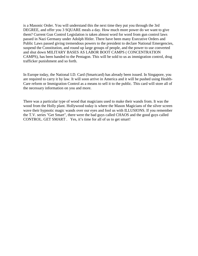is a Masonic Order. You will understand this the next time they put you through the 3rd DEGREE, and offer you 3 SQUARE meals a day. How much more power do we want to give them? Current Gun Control Legislation is taken almost word for word from gun control laws passed in Nazi Germany under Adolph Hitler. There have been many Executive Orders and Public Laws passed giving tremendous powers to the president to declare National Emergencies, suspend the Constitution, and round up large groups of people, and the power to use converted and shut down MILITARY BASES AS LABOR BOOT CAMPS ( CONCENTRATION CAMPS), has been handed to the Pentagon. This will be sold to us as immigration control, drug trafficker punishment and so forth.

In Europe today, the National I.D. Card (Smartcard) has already been issued. In Singapore, you are required to carry it by law. It will soon arrive in America and it will be pushed using Health-Care reform or Immigration Control as a means to sell it to the public. This card will store all of the necessary information on you and more.

There was a particular type of wood that magicians used to make their wands from. It was the wood from the Holly plant. Hollywood today is where the Mason Magicians of the silver screen wave their hypnotic magic wands over our eyes and fool us with ILLUSIONS. If you remember the T.V. series "Get Smart", there were the bad guys called CHAOS and the good guys called CONTROL. GET SMART . Yes, it's time for all of us to get smart!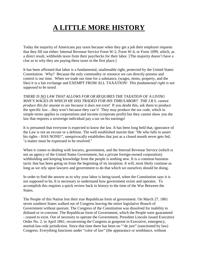### **A LITTLE MORE HISTORY**

Today the majority of Americans pay taxes because when they get a job their employer requests that they fill out either: Internal Revenue Service Form W-2, Form W-4, or Form 1099, which, as a direct result, withholds taxes from their paychecks for their labor. [The majority doesn't have a clue as to why they are paying these taxes in the first place.]

It has been affirmed that labor is a fundamental, unalienable right, protected by the United States Constitution. Why? Because the only commodity or resource we can directly possess and control is our time. When we trade our time for a substance, (wages, items, property, and the like) it is a fair exchange and EXEMPT FROM ALL TAXATION! *This fundamental right is not supposed to be taxed.* 

*THERE IS NO LAW THAT ALLOWS FOR OR REQUIRES THE TAXATION OF A LIVING MAN'S WAGES IN WHICH HE HAS TRADED FOR HIS TIME/LABOR!! THE I.R.S. cannot produce this for anyone to see because it does not exist!* If you doubt this, ask them to produce the specific law…they won't because they can't! They may produce the tax code, which in simple terms applies to corporations and income (corporate profit) but they cannot show you the law that requires a sovereign individual pay a tax on his earnings!

It is presumed that everyone is expected to know the law. It has been long held that, ignorance of the Law is not an excuse or a defense. The well established maxim that: "He who falls to assert his rights - HAS NONE!", unequivocally establishes that just as a closed mouth never gets fed, "a matter must be expressed to be resolved."

When it comes to dealing with lawyers, government, and the Internal Revenue Service (which is not an agency of the United States Government, but a private foreign-owned corporation) withholding and keeping knowledge from the people is nothing new. It is a common business tactic that has been going on from the beginning of its inception. It will, most likely continue as long as we rely upon lawyers and government to do that which we ourselves should be doing.

In order to find the answer as to why your labor is being taxed, when the Constitution says it is not supposed to be, It is necessary to understand how government exists and operates. To accomplish this requires a quick review back in history to the time of the War Between the States.

The People of this Nation lost their true Republican form of government. On March 27, 1861 seven southern States walked out of Congress leaving the entire legislative Branch of Government without quorum. The Congress of the Constitution was dissolved for inability to disband or re-convene. The Republican form of Government, which the People were guaranteed - ceased to exist. Out of necessity to operate the Government, President Lincoln issued Executive Order No. 2. in April 1861, reconvening the Congress at gunpoint in Executive, emergency, martial-law-rule jurisdiction. Since that time there has been no "'de jure" (sanctioned by law) Congress. Everything functions under "color of law" (the appearance or semblance, without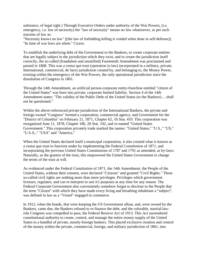substance, of legal right.) Through Executive Orders under authority of the War Powers, (i.e. emergency, i.e. law of necessity) the "law of necessity" means no law whatsoever, as per such maxims of law as:

"Necessity knows no law" [(the law of forbidding killing is voided when done in self-defense)]. "In time of war laws are silent." Cicero.

To establish the underlying debt of the Government to the Bankers, to create corporate entities that are legally subject to the jurisdiction which they exist, and to create the jurisdiction itself correctly, the so-called (fraudulent and unratified) Fourteenth Amendment was proclaimed and passed in 1868. This was a cestui que trust (operation in law) incorporated in a military, private, International, commercial, de facto jurisdiction created by, and belonging to, the Money Power, existing within the emergency of the War Powers, the only operational jurisdiction since the dissolution of Congress in 1861.

Through the 14th Amendment, an artificial person-corporate entity-franchise entitled "citizen of the United States" was born into private, corporate limited liability. Section 4 of the 14th Amendment states: "The validity of the Public Debt of the United States (to the Bankers) ... shall not be questioned."

Within the above-referenced private jurisdiction of the International Bankers, the private and foreign owned "Congress" formed a corporation, commercial agency, and Government for the "District of Columbia" on February 21, 1871, Chapter 62, 16 Stat. 419. This corporation was reorganized June 11, 1878, Chapter 180, 20 Stat. 102, and re-named "United States Government." This corporation privately trade marked the names: "United States," "U.S.," "US," "U.S.A.," "USA" and "America."

When the United States declared itself a municipal corporation, it also created what is known as a cestui que trust to function under by implementing the Federal Constitution of 1871, and incorporating the previous United States Constitutions of 1787 and 1791 as amended, as by-laws. Naturally, as the grantor of the trust, this empowered the United States Government to change the terms of the trust at will.

As evidenced under the Federal Constitution of 1871, the 14th Amendment, the People of the United States, without their consent, were declared "Citizens" and granted "Civil Rights." These so-called civil rights are nothing more than mere privileges. Privileges which government licenses, regulates, and can re-interpret to suit it's purposes at any time for any reason. The Federal Corporate Government also conveniently somehow forgot to disclose to the People that the term "Citizen" with which they have made every living and breathing inhabitant a "subject", was defined in law as a "Vessel" engaged in commerce.

In 1912, when the bonds, that were keeping the US Government afloat, and, were owned by the Bankers, came due, the Bankers refused to re-finance the debt, and the colorable, martial-lawrule Congress was compelled to pass, the Federal Reserve Act of 1913. This Act surrendered constitutional authority to create, control, and manage the entire money supply of the United States to a handful of private, mostly-foreign bankers. This placed exclusive creation and control of the money within the private, commercial, foreign, and military jurisdiction of 1861, into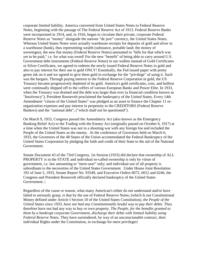corporate limited liability. America converted from United States Notes to Federal Reserve Notes, beginning with the passage of The Federal Reserve Act of 1913. Federal Reserve Banks were incorporated in 1914, and, in 1916, began to circulate their private, corporate Federal Reserve Notes as "money" alongside the nations "de jure" currency, the United States Notes. Whereas United States Notes were actually warehouse receipts for deposits of gold and silver in a warehouse (bank), thus representing wealth (substance, portable land; the money of sovereigns), the new flat money (Federal Reserve Notes) amounted to "bills for that which was yet to be paid," i.e. for what was owed! For the new "benefit" of being able to carry around U.S. Government debt instruments (Federal Reserve Notes) in our wallets instead of Gold Certificates or Silver Certificates, we agreed to redeem the newly issued Federal Reserve Notes in gold and also to pay interest for their use in gold ONLY! Essentially, the Fed issued paper with pretty green ink on it and we agreed to give them gold in exchange for the "privilege" of using it. Such was the bargain. Through paying interest to the Federal Reserve Corporation in gold, the US Treasury became progressively depleted of its gold. America's gold certificates, coin, and bullion were continually shipped off to the coffers of various European Banks and Power Elite. In 1933, when the Treasury was drained and the debt was larger than ever (a financial condition known as "Insolvency"), President Roosevelt proclaimed the bankruptcy of the United States. Every 14th Amendment "citizen of the United States" was pledged as an asset to finance the Chapter 11 reorganization expenses and pay interest in perpetuity to the CREDITORS (Federal Reserve Bankers) and the "national debt", ("which shall not be questioned").

On March 9, 1933, Congress passed the Amendatory Act (also known as the Emergency Banking Relief Act) to the Trading with the Enemy Act (originally passed on October 6, 1917) at a time when the United States was not in a shooting war with any foreign foe and included the People of the United States as the enemy. At the conference of Governors held on March 6, 1933, the Governors of the 48 States of the Union accommodated the Federal Bankruptcy of the United States Corporation by pledging the faith and credit of their State to the aid of the National Government.

Senate Document 43 of the 73rd Congress, 1st Session (1933) did declare that ownership of ALL PROPERTY is in the STATE and individual so-called ownership is only by virtue of government, i.e. law amounting to "mere-user" only; and individual use of all property is subordinate to the necessities of the United States Government. Under House Joint Resolution 192 of June 5, 1933, Senate Report No. 93549, and Executive Orders 6072, 6012 and 6246, the Congress and President Roosevelt officially declared bankruptcy of the United States Government. |

Regardless of the cause or reason, what many American's either do not understand and/or have failed to seriously grasp, is that by the use of Federal Reserve Notes; (which Is not Constitutional Money defined under Article I Section 10 of the United States Constitution*), the People of the United States since 1933, have not had any Constitutionally lawful way to pay their debts*. They therefore have not had any way to buy or own property. *The People, for the benefits granted to them by a bankrupt corporate Government, discharge their debts with limited liability using Federal Reserve Notes*. They have surrendered, by way of an unconscionable contract, their individual Rights under the Constitution, in exchange for mere privileges!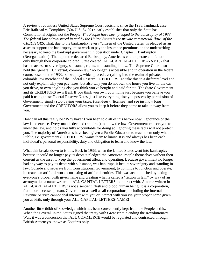A review of countless United States Supreme Court decisions since the 1938, landmark case, Erie Railroad v. Tompkins, (304 U.S. 64-92) clearly establishes that only the State has Constitutional Rights, not the People. *The People have been pledged to the bankruptcy of 1933. The federal law administered in and by the United States is the private commercial "law" of the CREDITORS*. That, due to the bankruptcy, every "citizen of the United States" is pledged as an asset to support the bankruptcy, must work to pay the insurance premiums on the underwriting necessary to keep the bankrupt government in operation under Chapter II Bankruptcy (Reorganization). That upon the declared Bankruptcy, Americans could operate and function only through their corporate colored, State created, ALL-CAPITAL-LETTERS-NAME, - that has no access to sovereignty, substance, rights, and standing in law. The Supreme Court also held the "general (Universal) common law" no longer is accessible and in operation in the federal courts based on the 1933, bankruptcy, which placed everything into the realm of private, colorable law merchant of the Federal Reserve CREDITORS. To take this to a different level and not only explain why you pay taxes, but also why you do not own the house you live in, the car you drive, or own anything else you think you've bought and paid for etc. The State Government and its CREDITORS own It all. If you think you own your home just because you believe you paid it using those Federal Reserve Notes, just like everything else you possess by permission of Government, simply stop paying your taxes, (user-fees), (licenses) and see just how long Government and the CREDITORS allow you to keep it before they come to take it away from you.

How can all this really be? Why haven't you been told all of this before now? Ignorance of the law is no excuse. Every man is deemed (required) to know the law. Government expects you to know the law, and holds you fully accountable for doing so. Ignoring these facts will not protect you. The majority of American's have been given a Public Education to teach them only what the Public, i.e. government (CREDITORS) wants them to know. It is and always has been each individual's personal responsibility, duty and obligation to learn and know the law.

What this breaks down to is this: Back in 1933, when the United States went into bankruptcy because it could no longer pay its debts it pledged the American People themselves without their consent as the asset to keep the government afloat and operating. Because government no longer had any way to pay its debts with substance, was bankrupt, it lost its sovereignty and standing in law. Outside and separate from Constitutional Government, to continue to function and operate, it created an artificial world consisting of artificial entities. This was accomplished by taking everyone's proper birth given name and creating what is called a "fiction in law," by way of an acronym, i.e. a name written in ALL-CAPITAL-LETTERS to interact with. A name written in ALL-CAPITAL-LETTERS is not a sentient, flesh and blood human being. It is a corporation, fiction or deceased person. Government as well as all corporations, including the Internal Revenue Service cannot deal interact with you or interact with you via your proper name given you at birth, only through your ALL-CAPITAL-LETTERS-NAME!

Another little tidbit of knowledge which has been conveniently kept from the People is this; When the Several united States signed the treaty with Great Britain ending the Revolutionary War, it was a concession that ALL COMMERCE would be regulated and contracted through British Attorney's known as Esquires only.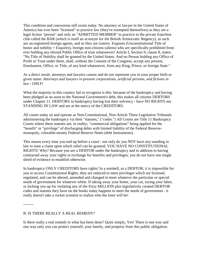This condition and concession still exists today. No attorney or lawyer in the United States of America has ever been "licensed" to practice law (they've exempted themselves) as they are a legal fiction "person" and only an "ADMITTED MEMBER" to practice in the private franchise club called the BAR (which is itself an acronym for the British Aristocratic Regency), as such are un-registered foreign agents, and so they are traitors. Esquires (Unconstitutional Title of honor and nobility = Esquires), foreign non-citizens (aliens) who are specifically prohibited from ever holding any elected Public Office of trust whatsoever! Article I, Section 9, clause 8, states: "No Title of Nobility shall be granted by the United States: And no Person holding any Office of Profit or Trust under them, shall, without the Consent of the Congress, accept any present, Emolument, Office, or Title, of any kind whatsoever, from any King, Prince, or foreign State."

As a direct result, attorneys and lawyers cannot and do not represent you in your proper birth or given name. *Attorneys and lawyers re-present corporations, artificial persons, and fictions in law - ONLY!* 

What the majority in this country fail to recognize is this: because of the bankruptcy and having been pledged as an asset to the National Government's debt, this makes all citizens DEBTORS under Chapter 11. DEBTORS in bankruptcy having lost their solvency - have NO RIGHTS nor STANDING IN LAW and are at the mercy of the CREDITORS.

All courts today sit and operate as Non-Constitutional, Non-Article Three Legislative Tribunals administering the bankruptcy via their "statutes," ("codes.") All Courts are Title 11 Bankruptcy Courts where these statutes are, in reality, "commercial obligations" being applied for the "benefit" or "privilege" of discharging debts with limited liability of the Federal Reservemonopoly, colorable-money Federal Reserve Notes (debt Instruments).

This means every time you end up before a court - not only do you NOT have any standing in law to state a claim upon which relief can be granted, YOU HAVE NO CONSTITUTIONAL RIGHTS! Why? Because you are a DEBTOR under the bankruptcy and in addition to having contracted away your rights in exchange for benefits and privileges; you do not have one single shred of evidence to establish otherwise.

In bankruptcy ONLY CREDITORS have rights! In a nutshell, as a DEBTOR, it is impossible for you to access Constitutional Rights, they are reduced to mere privileges which are licensed, regulated, and can be altered, amended and changed to meet whatever the particular or special needs of government for whatever whim. If taking away your home, your car, taxing your labor, or locking you up for violating any of the Sixty MILLION plus legislatively created DEBTOR codes and statutes they have on the books today happens to meet the needs of government - it really doesn't take a rocket scientist to realize who the loser will be!

--------

#### B. IS THERE REALLY A REAL REMEDY?

Is there really a real remedy to what has been done? Quite simply, Yes! There is one way and one way only you can protect yourself, your family, and property from this public obligation.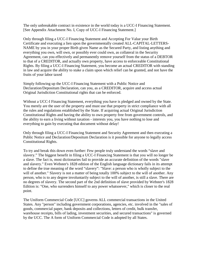The only unbreakable contract in existence in the world today is a UCC-I Financing Statement. [See Appendix Attachment No. I, Copy of UCC-I Financing Statement.]

Only through filing a UCC-I Financing Statement and Accepting For Value your Birth Certificate and executing a lien upon the governmentally created ALL-CAPITAL-LETTERS-NAME by you in your proper Birth given Name as the Secured Party, and listing anything and everything you own, will own, or possibly ever could own, as collateral in the Security Agreement, can you effectively and permanently remove yourself from the status of a DEBTOR to that of a CREDITOR, and actually own property, have access to enforceable Constitutional Rights. By filing a UCC-I Financing Statement, you become an actual CREDITOR with standing in law and acquire the ability to stake a claim upon which relief can be granted, and not have the fruits of your labor taxed

Simply following up the UCC-I Financing Statement with a Public Notice and Declaration/Depositum Declaration, can you, as a CREDITOR, acquire and access actual Original Jurisdiction Constitutional rights that can be enforced.

Without a UCC-I Financing Statement, everything you have is pledged and owned by the State. You merely are the user of the property and must use that property in strict compliance with all the rules and regulations established by the State. If acquiring actual Original Jurisdiction Constitutional Rights and having the ability to own property free from government controls, and the ability to earn a living without taxation - interests you, you have nothing to lose and everything to gain by executing that document without delay!

Only through filing a UCC-I Financing Statement and Security Agreement and then executing a Public Notice and Declaration/Depositum Declaration is it possible for anyone to legally access Constitutional Rights.

To try and break this down even further: Few people truly understand the words "slave and slavery." The biggest benefit in filing a UCC-I Financing Statement is that you will no longer be a slave. The fact is, most dictionaries fail to provide an accurate definition of the words "slave and slavery." Even Webster's 1828 edition of the English language dictionary fails in its attempt to define the true meaning of the word "slavery": "Slave: a person who is wholly subject to the will of another." Slavery is not a matter of being totally 100% subject to the will of another. Any person, who is to any degree involuntarily subject to the will of another, is still a slave. There are no degrees of slavery. The second part of the 2nd definition of slave provided by Webster's 1828 Edition is: "One, who surrenders himself to any power whatsoever," which is closer to the real point.

The Uniform Commercial Code [UCC] governs ALL commercial transactions in the United States. Any "person" including government corporations, agencies, etc. involved in the "sales of goods, commercial paper, bank deposits and collections, letters of credit, bulk transfer, warehouse receipts, bills of lading, investment securities, and secured transactions" is governed by the UCC. The A form of Uniform Commercial Code is adopted by all States.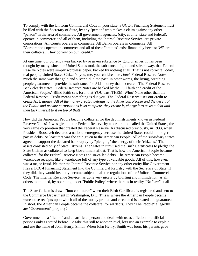To comply with the Uniform Commercial Code in your state, a UCC-I Financing Statement must be filed with the Secretary of State, by any "person" who makes a claim against any other "person" in the area of commerce. All government agencies, (city, county, state and federal), operate in commerce and all of them, including the Internal Revenue Service, are private corporations. All Courts operate in commerce. All Banks operate in commerce. All "Corporations operate in commerce and all of these "entities" exist financially because WE are their collateral. They borrow on our "credit."

At one time, our currency was backed by or given substance by gold or silver. It has been thought by many, since the United States took the substance of gold and silver away, that Federal Reserve Notes were simply worthless paper, backed by nothing at all. That is not correct! Today, real people, United States Citizen's, you, me, your children, etc. *back* Federal Reserve Notes, much the same way that gold and silver did in the past. In other words, the living, breathing people guarantee or provide the substance for ALL money that is created. The Federal Reserve Bank clearly states: "Federal Reserve Notes are backed by the Full faith and credit of the American People." Blind Faith sets forth that YOU trust THEM. Who? None other than the Federal Reserve! Credit means something is due you! The Federal Reserve uses our credit to create ALL money. *All of the money created belongs to the American People and the deceit of the Public and private corporations is so complete, they create it, charge it to us as a debt and then tack interest to it on top of that!*

How did the American People become collateral for the debt instruments known as Federal Reserve Notes? It was given to the Federal Reserve by a corporation called the United States, the very same corporation that created the Federal Reserve. As discussed previously, in 1933, when President Roosevelt declared a national emergency because the United States could no longer pay its debts. At least that was the spin given to the American People. All of the subsidiary States agreed to support the declared bankruptcy by "pledging" the energy of their "citizens." Their assets consisted only of State Citizens. The States in turn used the Birth Certificates to pledge the State Citizen as collateral to keep Government afloat. That is how the American People became collateral for the Federal Reserve Notes and so-called debts. The American People became warehouse receipts, like a warehouse full of any type of valuable goods. All of this, however, was a major fraud. Neither the Internal Revenue Service nor any other entity like Government files a UCC-I Financing Statement Into the Commercial Registry with the Secretary of State. If they did, they would instantly become subject to all the regulations of the Uniform Commercial Code. The Internal Revenue Service has done very nicely by bluffing and intimidation, as all others mentioned, by operating under "Public Policy" where there is in reality "No Law" at all!

The State Citizen is drawn "into commerce" when their Birth Certificate is registered and sent to the Commerce Department in Washington, D.C. This is where the American People became warehouse receipts upon which all of the money printed and circulated is created and guaranteed. In short, the American People became the collateral for all debts. They "The People" allegedly are "Government" property!

Government is a "fiction" and an artificial person and deals with us as a fiction or artificial persons only as stated before. To take this still to another level, let's use an example to explain and use the name of John Henry: Smith. When John Henry: Smith was born, his parents gave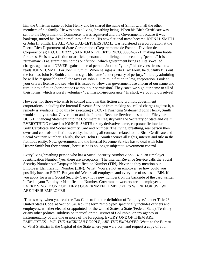him the Christian name of John Henry and he shared the name of Smith with all the other members of his family. He was born a living, breathing being. When his Birth Certificate was sent to the Department of Commerce, it was registered and the Government, because it was bankrupt, turned his "real name" into a fiction. His new fictional name became JOHN H. SMITH or John H. Smith. His ALL-CAPITAL-LETTERS NAME was registered as a corporation at the Puerto Rico Department of State Corporations (Departamento de Estado - Division de Corporaciones) P.O. BOX 3271, SAN JUAN, PUERTO RICO, 00904-3271, making him liable for taxes. He is now a fiction or artificial person; a non-living, non-breathing "person." It is a "strawman" (Lat. stramineus homo) or "fiction" which government brings all its so-called charges against and NEVER against the real person. Just like "yours," his driver's license now reads JOHN H. SMITH or John H. Smith. When he signs a 1040 Tax Form, he dutifully fills out the form as John H. Smith and then signs his name "under penalty of perjury, " thereby admitting he will be responsible for all the taxes of John H. Smith, a fiction in law, corporation. Look at your drivers license and see who it is issued to. How can government use a form of our name and turn it into a fiction (corporation) without our permission? They can't, we sign our name to all of their forms, which is purely voluntary "permission-in-ignorance." In short, we do it to ourselves!

However, for those who wish to control and own this fiction and prohibit government corporations, including the Internal Revenue Service from making so- called charges against it, a remedy is available: to do this by executing a UCC- 1 Financing Statement! John Henry, Smith would simply do what Government and the Internal Revenue Service does not do: File your UCC-1 Financing Statement into the Commercial Registry with the Secretary of State and claim EVERYTHING related to JOHN H. SMITH or any derivative name, corporate fiction; i.e.: the Birth Certificate and Social Security Card and Number. The living, breathing, real person then owns and controls the fictitious entity, including all contracts related to the Birth Certificate and Social Security Number. Thusly, the real John H. Smith secures all rights, interest and title in the fictitious entity. Now, government and the Internal Revenue Service has to deal with John Henry: Smith but they cannot!, because he is no longer subject to government control.

Every living breathing person who has a Social Security Number *ALSO HAS* an Employer Identification Number (yes, there are exceptions). The Internal Revenue Service calls the Social Security Number our Taxpayer Identification Number (TIN). Never do they mention our Employer Identification Number (EIN). What, "you are not an employer, so how could you possibly have an EIN?" But you do! We are all employers and every one of us has an EIN. If you apply for a new Social Security Card (not a new number), on the backside of the card written In Red is your Employer Identification Number. Government workers are all employees. EVERY SINGLE ONE OF THEM! GOVERNMENT EMPLOYEES WORK FOR US!, WE ARE THEIR EMPLOYER!

That is why, when you read the Tax Code to find the definition of "employee," under Title 26 United States Code, at Section 3401(c), the term "employee" specifically includes officers and employees, whether elected or appointed, of the United States, a State (Federal State), Territory, or any other political subdivision thereof, or the District of Columbia, or any agency or instrumentality of any one or more of the foregoing. EVERY ONE OF THEM ARE EMPLOYEES – *WE, THE AMERICAN PEOPLE, ARE THE EMPLOYER*. Write to the Bureau of Vital Statistics in the Capital of the State where you were born and request a copy of your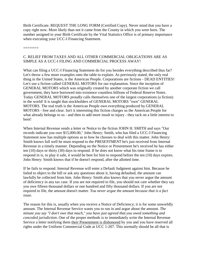Birth Certificate. REQUEST THE LONG FORM (Certified Copy). Never mind that you have a copy right now. More likely than not it came from the County in which you were born. The number assigned to your Birth Certificate by the Vital Statistics Office is of primary importance when executing your UCC-I Financing Statement.

=======

#### C. RELIEF FROM TAXES AND ALL OTHER COMMERCIAL OBLIGATIONS ARE AS SIMPLE AS A UCC-I FILING AND COMMERCIAL PROCESS AWAY!

What can filing a UCC-I Financing Statement do for you besides everything described thus far? Let's throw a few more examples onto the table to explain. As previously stated, the only real thing in the United States, is the American People. Corporations are fictions - DEAD ENTITIES! Let's use a fiction called GENERAL MOTORS for our explanation. Since the inception of GENERAL MOTORS which was originally created by another corporate fiction we call government, they have borrowed into existence countless billions of Federal Reserve Notes. Today GENERAL MOTORS proudly calls themselves one of the largest corporations (a fiction) in the world! It is taught that stockholders of GENERAL MOTORS "own" GENERAL MOTORS. The real truth is the American People own everything produced by GENERAL MOTORS - free and clear. Isn't it interesting this fiction charges us the American People for what already belongs to us - and then to add more insult to injury - they tack on a little interest to boot!

When Internal Revenue sends a letter or Notice to the fiction JOHN H. SMITH and says "Our records indicate you owe \$15,000.00," John Henry: Smith, who has filed a UCC-I Financing Statement now has multiple options as to how he chooses to deal with this matter. John Henry: Smith knows full well he must respond to the *PRESENTMENT* he's just received from Internal Revenue in a timely manner. Depending on the Notice or Presentment he's received he has either ten (10) days or thirty (30) days to respond. If he does not know what his time frame is to respond in is, to play it safe, it would be best for him to respond before the ten (10) days expires. John Henry: Smith knows that if he doesn't respond, after the allotted time.

If he fails to respond. Internal Revenue will enter a Default Judgment against him. Because he failed to object to the bill or ask any questions about it, having defaulted, the amount can lawfully be collected from him. John Henry: Smith also knows that you never argue the amount of deficiency in any tax case. If you are not required to file, you should not care whether they say you owe fifteen thousand dollars or one hundred and fifty thousand dollars. If you are not required to file, the amount doesn't matter. *You never argue the amount because that is a fact issue.*

The reason for this is, usually when you receive a Notice of Deficiency; it is for some unworldly amount. The Internal Revenue Service wants you to run in and argue about the amount. *The minute you say "I don't owe that much," you have just agreed that you owed something and conceded jurisdiction*. One of the proper methods is to immediately write the Internal Revenue Service a letter notifying them their Presentment is dishonored by you and you have reserved all rights under the Uniform Commercial Code at UCC 1-207. This normally should be all that is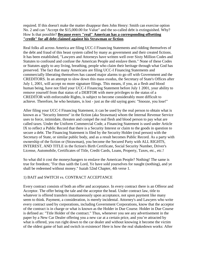required. If this doesn't make the matter disappear then John Henry: Smith can exercise option No. 2 and can "Accept the \$15,000.00 for Value" and the so-called debt is extinguished. Why? How Is that possible? **Because every "real" American has a corresponding offsetting "credit" for all debt claimed against his Strawman or fiction**.

Real folks all across America are filing UCC-I Financing Statements and ridding themselves of the debt and fraud of this beast system called by many as government and their created fictions. It has been established, "Lawyers and Attorneys have written well over Sixty Million Codes and Statutes to confound and confuse the American People and enslave them." None of these Codes or Statutes apply to any living, breathing, people who claim their heritage through what God has preserved. The fact that many Americans are filing UCC-I Financing Statements and commercially liberating themselves has caused major alarms to go off with Government and the CREDITORS. In an attempt to slow down this mass exodus, the Secretary of State's Offices after July 1, 2001, will accept no more signature filings. This means, if you, as a flesh and blood human being, have not filed your UCC-I Financing Statement before July 1 2001, your ability to remove yourself from that status of a DEBTOR with mere privileges to the status of a CREDITOR with enforceable Rights, is subject to become considerably more difficult to achieve. Therefore, he who hesitates, is lost - just as the old saying goes: "Snooze, you lose!"

After filing your UCC-I Financing Statement, it can be used by the real person to obtain what is known as a "Security Interest" in the fiction (aka Strawman) whom the Internal Revenue Service uses to force, intimidate, threaten and compel the real flesh and blood person to pay what are called taxes. Under the Uniform Commercial Code, a Financing Statement is used under Article IX to reflect a Public Record that there is a Security Interest or claim to the goods in question to secure a debt. The Financing Statement is filed by the Security Holder (real person) with the Secretary of State, or similar public body, and as a result becomes Public Record. As a party with ownership of the fiction or (Strawman), you become the Secured Party with ALL RIGHTS, INTEREST, AND TITLE in the fiction's Birth Certificate, Social Security Number, Driver's License, Automobile, Certificates of Title, Credit Cards, Loans, Property, Taxes, etc., etc.!

So what did it cost the moneychangers to enslave the American People? Nothing! The same is true for freedom; "For thus saith the Lord, Ye have sold yourselves for naught (nothing), and ye shall be redeemed without money." Isaiah 52nd Chapter, 4th verse 1.

#### 1) BAIT and SWITCH vs. CONTRACT ACCEPTANCE

Every contract consists of both an offer and acceptance. In every contract there is an Offeror and Acceptor. The offer being the tale and the acceptor the head. Under contract law, title to whatever is offered transfers instantaneously upon acceptance, not upon payment like many seem to think. Payment, a consideration, is merely incidental. Attorney's and Lawyers who write every contract used by corporations, including Government Corporations, know that the acceptor of the contract is in charge or what is known as the Holder in Due Course. Holder in Due Course is defined as: "Title Holder of the contract." Thus, whenever you see any advertisement in the paper by a New Car Dealer offering you a new car at a certain price, and you're attracted by what is offered, you run right down to the car dealer and without knowing it become the victim of the oldest game of bait and switch in existence! Here is how the real shakedown works: After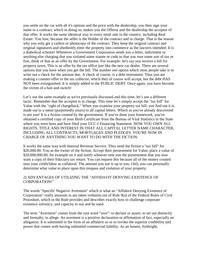you settle on the car with all it's options and the price with the dealership, you then sign your name to a contract, which in doing so, makes you the Offeror and the dealership the acceptor of that offer. It works the same identical way in every retail sale in the country, including Real Estate. You lose, because the seller is the Holder of the contract and in charge. That is the reason why you only get a carbon or photocopy of the contract. They keep the original contract and original signatures and obediently enter the property into commerce as the lawyers intended. It is a diabolical scheme! Whenever a Government Corporation sends you a letter, indictment or anything else charging that you violated some statute or code or that you owe some sort of tax or fine, think of that as an offer by the Government. For example: let's say you receive a bill for property taxes. This is an offer by the tax office just like the new car dealer. There are several options that you have when you get the bill. The number one option which most people take is to write out a check for the amount due. A check of course, is a debt instrument. Thus you are making a counter-offer to the tax collector, which they of course will accept, but the debt HAS NOT been extinguished. It is simply added to the PUBLIC DEBT. Once again, you have become the victim of a bait and switch!

Let's use the same example as we've previously discussed and this time, let's use a different tactic. Remember that the acceptor is in charge. This time let's simply accept the "tax bill" for Value with the "right of chargeback." When you examine your property tax bill, you find out it is made out to a name (purportedly yours) in all capital letters. Which as you've already discovered is not you! It is a fiction created by the government. If you've done your homework, you've obtained a certified copy of your Birth Certificate from the Bureau of Vital Statistics in the State where you were born and have filed your UCC-I Financing Statement. NOW YOU OWN ALL RIGHTS, TITLE AND INTEREST IN THAT ALL CAPITAL LETTER NAME CHARACTER, INCLUDING ALL CONTRACTS, MORTGAGES AND PLEDGES. YOU'RE NOW IN CHARGE OF ANYTHING YOU WANT TO DO WITH THE FICTION.

It works the same way with Internal Revenue Service. They send the fiction a "tax bill" for \$20,000.00. You as the owner of the fiction, Accept their presentment for Value, place a value of \$20,000,000.00, for example on it and notify whoever sent you the presentment that you now want a copy of their fiduciary tax return. You can request this because all of the money created uses your credit/labor as collateral. The amount you use is up to you. Only you can personally determine what value to place upon this trespass and violation of your property.

#### 2) ADVANTAGES OF UTILIZING THE "AFFIDAVIT DENYING EXISTENCE OF CORPORATION!"

The words "Specific Negative Averment" which is what an "Affidavit Denying Existence of Corporation" really amounts to are taken verbatim out of Rule 9(a) of the Federal Rules of Civil Procedure, which in the Rule provides and describes exactly how to challenge corporate existence solvency, and capacity to sue and be sued.

The term "Averment" comes from the root word "aver": to declare or assert; to set out distinctly and formally; to allege. An averment is a positive declaration or affirmation of fact, especially an allegation. It is submitted in the form of an affidavit so as to invoke the superior credibility and power that comes with having unlimited commercial liability. As an honest, forthright,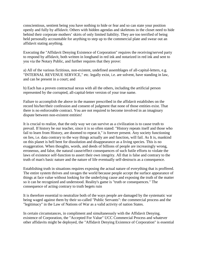conscientious, sentient being you have nothing to hide or fear and so can state your position openly and fully by affidavit. Others with hidden agendas and skeletons in the closet need to hide behind their corporate mothers' skirts of only limited liability. They are too terrified of being held personally accountable for anything to step up to the commercial plate and swear out an affidavit stating anything.

Executing the "Affidavit Denying Existence of Corporation" requires the receiving/served party to respond by affidavit, both written in longhand in red ink and notarized in red ink and sent to you via the Notary Public, and further requires that they prove:

a) All of the various fictitious, non-existent, undefined assemblages of all-capital-letters, e.g. "INTERNAL REVENUE SERVICE," etc. legally exist, i.e. are solvent, have standing in law, and can be present in a court; and

b) Each has a proven contractual nexus with all the others, including the artificial person represented by the corrupted, all-capital-letter version of your true name.

Failure to accomplish the above in the manner prescribed in the affidavit establishes on the record his/her/their confession and consent of judgment that none of those entities exist. That there is no enforceable contract. You are not required to become involved in an imaginary dispute between non-existent entities!

It is crucial to realize, that the only way we can survive as a civilization is to cause truth to prevail. If history be our teacher, since it is so often stated: "History repeats itself and those who fail to learn from History, are doomed to repeat it," is forever present. Any society functioning on lies, i.e. data contrary to the way things actually are and function, will fail. As It is, mankind on this planet is hell bent for dissolution and disappearance as a living species. This is no exaggeration. When thoughts, words, and deeds of billions of people are increasingly wrong, erroneous, and false, the natural cause/effect consequences of such futile efforts to violate the laws of existence self-function to assert their own integrity. All that is false and contrary to the truth of man's basic nature and the nature of life eventually self-destructs as a consequence.

Establishing truth in situations requires exposing the actual nature of everything that is proffered. The entire system thrives and ravages the world because people accept the surface appearance of things at face value without looking for the underlying cause and exposing the truth of the matter so it can be recognized and understood. Reality's game is "truth or consequences." The consequence of acting contrary to truth begets ruin

It is therefore essential to neutralize both of the ways people are damaged by the systematic war being waged against them by their so-called "Public Servants": the commercial process and the "legitimacy" in the Law of Nations of War as a valid activity of nation States.

In certain circumstances, in compliment and simultaneously with the Affidavit Denying. existence of Corporation, the "Accepted For Value" UCC Commercial Process and whatever other affidavits might be deployed, the "Affidavit Denying Existence of Corporation" is essential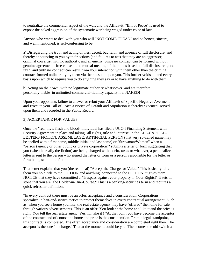to neutralize the commercial aspect of the war, and the Affidavit, "Bill of Peace" is used to expose the naked aggression of the systematic war being waged under color of law.

Anyone who wants to deal with you who will "NOT COME CLEAN" and be honest, sincere, and well intentioned, is self-confessing to be:

a) Disregarding the truth and acting on lies, deceit, bad faith, and absence of full disclosure, and thereby announcing to you by their actions (and failures to act) that they are an aggressor, criminal con artist with no authority, and an enemy. Since no contract can be formed without genuine agreement - free consent and mutual meeting of the minds based on full disclosure, good faith, and truth no contract can result from your interaction with them other than the criminal contract formed unilaterally by them via their assault upon you. This further voids all and every basis upon which to require you to do anything they say or to have anything to do with them.

b) Acting on their own, with no legitimate authority whatsoever, and are therefore personally liable in unlimited-commercial-liability capacity, i.e. NAKED!

Upon your opponents failure to answer or rebut your Affidavit of Specific Negative Averment and Execute your Bill of Peace a Notice of Default and Stipulation is thereby executed, served upon them and recorded in the Public Record.

#### 3) ACCEPTANCE FOR VALUE?

Once the "real, live, flesh and blood- Individual has filed a UCC-I Financing Statement with Security Agreement in place and taking "all rights, title and interest" in the ALL-CAPITAL-LETTERS FICTION, ASSEMBLAGE, ARTIFICIAL PERSON (that very so-called name may be spelled with a first name, middle initial and last name) or "Strawman/Woman" when a "person (agency or other public or private corporation)" submits a letter or form suggesting that you (when its really the fiction) are being charged with a debt, taxes or whatever, a personalized letter is sent to the person who signed the letter or form or a person responsible for the letter or form being sent to the fiction.

That letter explains that you (the real deal) "Accept the Charge for Value." This basically tells them you hold title to the FICTION and anything .connected to the FICTION, it gives them NOTICE that they have committed a "Trespass against your property ... Your Rights!" It sets in stone that you are "the Holder-in-Due-Course." This is a banking/securities term and requires a quick refresher definition:

"In every contract there must be an offer, acceptance and a consideration. Corporations specialize in bait-and-switch tactics to protect themselves in every contractual arrangement. Such as, when you see a home you like, the real estate agency may have "offered" the home for sale through various advertisements. This is an offer. You look at the home and like it and the price is right. You tell the real estate agent "Yes, I'll take it ! "At that point you have become the acceptor of the contract and of course the home and price is the consideration. From a legal standpoint, this contract Is completed. The offer, acceptance and consideration are completed right then. The acceptor is the 'one "in charge." That at the moment, could be you. Then comes the old switch-a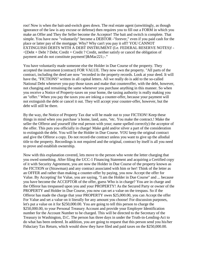roo! Now is when the bait-and-switch goes down. The real estate agent (unwittingly, as though ignorance of the law is any excuse or defense) then requires you to fill out a FORM in which you make an Offer and They the Seller become the Acceptor! The bait and switch is complete. That simple. You have now "voluntarily" become a DEBTOR -"forever," even if you paid cash for the place or latter pay of the mortgage. Why? Why can't you pay it off? YOU CANNOT EXTINGUISH DEBTS WITH A DEBT INSTRUMENT (I.e. FEDERAL RESERVE NOTES)! -  $\leq$ [Debt + Debt ? Debt; Credit + Credit ? Credit, neither satisfy or cancel the obligation of payment and do not constitute payment!]&Mac221;-."

You have voluntarily made someone else the Holder in Due Course of the property. They accepted the instrument (contract) FOR VALUE. They now own the property. "All parts of the contract, including the deed are now "recorded in the property records. Look at your deed. It will have the, "FICTIONS" written in all capital letters. All we really do is add to the so-called National Debt whenever you-pay those taxes and make that counteroffer, with the debt, however, not changing and remaining the same whenever you purchase anything in this manner. So when you receive a Notice of Property-taxes on your home, the taxing authority is really making you an "offer." When you pay the taxes you are inking a counter-offer, because your payment will not extinguish the debt or cancel it out. They will accept your counter-offer, however, but the debt will still be there.

By the way, the Notice of Property Tax due will be made out to your FICTION! Keep these things in mind when you purchase 'a home, land, auto, "etc. You make the contract.! Make the seller the Offeror and yourself (the real person with your; name spelled correctly) the acceptor of the offer. This puts you officially in charge! Make gold and/or silver a part of the consideration to extinguish the debt. You will be the Holder in Due Course. YOU keep the original contract and give the Offeror a copy. Do not record-the contract unless you want to give up the allodial title to the property. Recordings is not required and the original, contract by itself is all you need to prove and establish ownership.

Now with this explanation covered, lets move to the person who wrote the letter charging that you owed something. After filing the UCC-1 Financing Statement and acquiring a Certified copy of it with Security Agreement, you are now the Holder in Due Course of the property known as the FICTION or (Strawman) and any contract associated with him or her! Think of the letter as an OFFER and rather than making a counter-offer by paying, you now Accept the offer for Value. By Accepting' for Value, you are saying, "I am the Holder in Due Course" and ... because you have become the ACCEPTOR of the offer, guess Who is in charge? You are in charge and the Offeror has trespassed upon you and your PROPERTY! As the Secured Party or owner of the PROPERTY and Holder in Due Course, you now can set a value on the trespass. So if the Offeror has made the charge that your PROPERTY owes \$25,000.00, you can Accept the offer For Value and set a value on it literally for any amount you choose! For discussion purposes, let's put a value on it for \$250,000.00. You are going to tell this person to charge the \$250,000.00, to your Personal Treasury Account and provide your Employer Identification number for the Account Number to be charged. This will be directed to the Secretary of the Treasury in Washington, D.C. The person has three days in under the Truth-in-Lending-Act to do what has been ordered. In addition, you are going to request that this person send you his/her Fiduciary Tax Return, which would show they have filed and paid taxes on the \$250,000.00.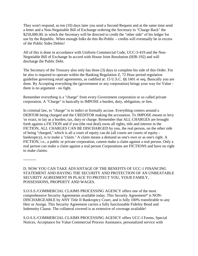They won't respond, so ten (10) days later you send a Second Request and at the same time send a letter and a Non-Negotiable Bill of Exchange ordering the Secretary to "Charge Back" the \$250,000.00, in which the Secretary will be directed to credit the "other side" of his ledger for use by the Republic. When enough folks do this Re-Public – credits will eventually be in excess of the Public Sides Debits!

All of this is done in accordance with Uniform Commercial Code, UCC-3-419 and the Non-Negotiable Bill of Exchange In accord with House Joint Resolution (HJR-192) and will discharge the Public Debt.

The Secretary of the Treasury also only has three (3) days to complete his side of this Order. For he also is required to operate within the Banking Regulation Z, 72 Hour period regulation guideline governing retail agreements, as codified at: 15 U.S.C. §§ 1601 et seq. Basically you are done. By Accepting everything the (government or any corporation) brings your way for Value there is no argument - no fight.

Remember everything is a "charge" from every Government corporation or so called private corporation. A "Charge" is basically to IMPOSE a burden, duty, obligation, or lien.

In criminal law, to "charge" is to indict or formally accuse. Everything centers around a DEBTOR being charged and the CREDITOR making the accusation. To IMPOSE means to levy 'or exact, to lay as a burden, tax, duty or charge. Remember that ALL CHARGES are brought forth against a FICTION and if you (the real deal) owns all rights, title and interest in the FICTION, ALL CHARGES CAN BE DISCHARGED by you, the real person, on the other side of being "charged," which is all a court of equity can do (all courts are courts of equity bankruptcy), is to make a "claim." A claim means a demand as one's own or as one's right. A FICTION, i.e., a public or private corporation, cannot make a claim against a real person. Only a real person can make a claim against a real person Corporations are FICTIONS and have no right to make claims.

----------

D. NOW YOU CAN TAKE ADVANTAGE OF THE BENEFITS OF UCC-1 FINANCING STATEMENT AND HAVING THE SECURITY AND PROTECTION OF AN UNBEATABLE SECURITY AGREEMENT IN PLACE TO PROTECT YOU, YOUR FAMILY, POSSESSIONS, PROPERTY AND WAGES.

S.O.S.S./COMMERCIAL CLAIMS PROCESSING AGENCY offers one of the most comprehensive Security Agreements available today. This Security Agreement\* is NON-DISCHARGEABLE by ANY Title II Bankruptcy Court, and is fully 100% transferable to any Heir or Assign. This Security Agreement carries a fully functionable Fidelity Bond and Indemnity Clause. The collateral covered is as extensive of coverage available!

S.O.S.S./COMMERCIAL CLAIMS PROCESSING AGENCY offers UCC-I Forms, Special Notices, Acceptance for Value Commercial Process Assistance, personalized service with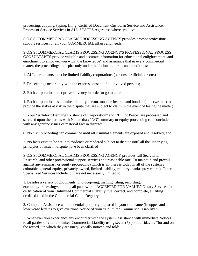processing, copying, typing, filing, Certified Document Custodian Service and Assistance, Process of Service Services in ALL STATES regardless where, you live

S.O.S.S./COMMERCIAL CLAIMS PROCESSING AGENCY provides prompt professional support services for all your COMMERCIAL affairs and needs.

S.O.S.S./COMMERCIAL CLAIMS PROCESSING AGENCY'S PROFESSIONAL PROCESS CONSULTANTS provide valuable and accurate information for educational enlightenment, and enrichment to empower you with "the knowledge" and assurance that in every commercial matter, the proceedings transpire only under the following terms and conditions:

1. ALL participants must be limited-liability corporations (persons, artificial persons)

2. Proceedings occur only with the express consent of all involved persons;

3. Each corporation must prove solvency in order to go to court;

4. Each corporation, as a limited liability person, must be insured and bonded (underwritten) to provide the stakes at risk in the dispute that are subject to claim in the event of losing the matter;

5. Your "Affidavit Denying Existence of Corporation" and, "Bill of Peace" are processed and serviced upon the parties with Notice that: "NO" summary or equity proceeding can conclude with any genuine issues of material fact in dispute:

6. No civil proceeding can commence until all criminal elements are exposed and resolved; and,

7. No facts exist to be set Into evidence or rendered subject to dispute until all the underlying principles of issue in dispute have been clarified

S.O.S.S./COMMERCIAL CLAIMS PROCESSING AGENCY provides full Secretarial, Research, and other professional support services at a reasonable rate. To maintain and prevail against any summary or equity proceeding (which is all there is today in all of the system's colorable, general-equity, privately owned, limited-liability, military, bankruptcy courts). Other Specialized Services include, but are not necessarily limited to:

1. Besides a variety of documents, photocopying, mailing, filing, recording, executing/processing/stamping all paperwork "ACCEPTED FOR VALUE," Notary Services for certification of your Unlimited Commercial Liability true, correct, and complete, all filing certified filed in the Commercial Claim Registry;

2. Complete Assistance with credentials properly prepared In your true name (In upper-andlower-case letters) to give everyone Notice of your "Unlimited Commercial Liability."

3. Whenever you experience any encounter with the system, assistance with immediate Notices to all parties of your unlimited Commercial Liability using seven (7) point affidavits, "for and on the record," in which they are unequivocally noticed and told: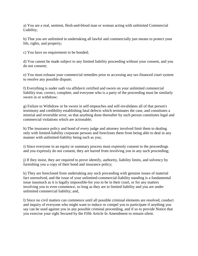a) You are a real, sentient, flesh-and-blood man or woman acting with unlimited Commercial Liability;

b) That you are unlimited in undertaking all lawful and commercially just means to protect your life, rights, and property;

c) You have no requirement to be bonded;

d) You cannot be made subject to any limited liability proceeding without your consent, and you do not consent;

e) You must exhaust your commercial remedies prior to accessing any tax-financed court system to resolve any possible dispute;

f) Everything is under oath via affidavit certified and sworn on your unlimited commercial liability true, correct, complete, and everyone who is a party of the proceeding must be similarly sworn in or withdraw;

g) Failure to Withdraw or be sworn in self-impeaches and self-invalidates all of that person's testimony and credibility establishing fatal defects which terminates the case, and constitutes a mistrial and reversible error, so that anything done thereafter by such person constitutes legal and commercial violations which are actionable;

h) The insurance policy and bond of every judge and attorney involved limit them to dealing only with limited-liability corporate persons and forecloses them from being able to deal in any manner with unlimited-liability being such as you;

i) Since everyone in an equity or summary process must expressly consent to the proceedings and you expressly do not consent, they are barred from involving you in any such proceeding;

j) If they insist, they are required to prove identify, authority, liability limits, and solvency by furnishing you a copy of their bond and insurance policy;

k) They are foreclosed from undertaking any such proceeding with genuine issues of material fact unresolved, and the issue of your unlimited-commercial-liability standing is a fundamental issue inasmuch as it is legally impossible-for you to be in their court, or for any matters involving you to even commence, so long as they are in limited liability and you are under unlimited commercial liability; and,

l) Since no civil matters can commence until all possible criminal elements are resolved, conduct and inquiry of everyone who might want to induce or compel you to participate if anything you say can be used against you in any possible criminal proceeding, and if so to provide Notice that you exercise your right Secured by the Fifth Article In Amendment to remain silent.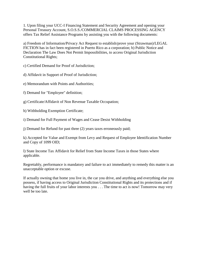1. Upon filing your UCC-I Financing Statement and Security Agreement and opening your Personal Treasury Account, S.O.S.S./COMMERCIAL CLAIMS PROCESSING AGENCY offers Tax Relief Assistance Programs by assisting you with the following documents:

a) Freedom of Information/Privacy Act Request to establish/prove your (Strawman)/LEGAL FICTION has in fact been registered in Puerto Rico as a corporation; b) Public Notice and Declaration The Law Does Not Permit Impossibilities, to access Original Jurisdiction Constitutional Rights;

c) Certified Demand for Proof of Jurisdiction;

d) Affidavit in Support of Proof of Jurisdiction;

e) Memorandum with Points and Authorities;

- f) Demand for "Employee" definition;
- g) Certificate/Affidavit of Non Revenue Taxable Occupation;
- h) Withholding Exemption Certificate;
- i) Demand for Full Payment of Wages and Cease Desist Withholding

j) Demand for Refund for past three (2) years taxes erroneously paid;

k) Accepted for Value and Exempt from Levy and Request of Employee Identification Number and Copy of 1099 OID;

l) State Income Tax Affidavit for Relief from State Income Taxes in those States where applicable.

Regrettably, performance is mandatory and failure to act immediately to remedy this matter is an unacceptable option or excuse.

If actually owning that home you live in, the car you drive, and anything and everything else you possess, if having access to Original Jurisdiction Constitutional Rights and its protections and if having the full fruits of your labor interests you . . . The time to act is now! Tomorrow may very well be too late.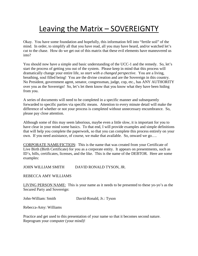## Leaving the Matrix – SOVEREIGNTY

Okay. You have some foundation and hopefully, this information fell into "fertile soil" of the mind. In order, to simplify all that you have read, all you may have heard, and/or watched let's cut to the chase. How do we get out of this matrix that these evil elements have maneuvered us into?

You should now have a simple and basic understanding of the UCC-1 and the remedy. So, let's start the process of getting you out of the system. Please keep in mind that this process will dramatically change your entire life, *so start with a changed perspective*. You are a living, breathing, soul filled being! You are the divine creation and are the Sovereign in this country. No President, government agent, senator, congressman, judge, cop, etc., has ANY AUTHORITY over you as the Sovereign! So, let's let them know that you know what they have been hiding from you.

A series of documents will need to be completed in a specific manner and subsequently forwarded to specific parties via specific means. Attention to every minute detail will make the difference of whether or not your process is completed without unnecessary encumbrance. So, please pay close attention.

Although some of this may seem laborious, maybe even a little slow, it is important for you to have clear in your mind some basics. To that end, I will provide examples and simple definitions that will help you complete the paperwork, so that you can complete this process entirely on your own. If you need assistance, of course, we make that available. So, onward we go….

CORPORATE NAME/FICTION: This is the name that was created from your Certificate of Live Birth (Birth Certificate) for you as a corporate entity. It appears on presentments, such as ID's, bills, certificates, licenses, and the like. This is the name of the DEBTOR. Here are some examples:

JOHN WILLIAM SMITH DAVID RONALD TYSON, JR.

REBECCA AMY WILLIAMS

LIVING PERSON NAME: This is your name as it needs to be presented to these yo-yo's as the Secured Party and Sovereign:

John-William: Smith David-Ronald, Jr.: Tyson

Rebecca-Amy: Williams

Practice and get used to this presentation of your name so that it becomes second nature. Reprogram your computer (your mind)!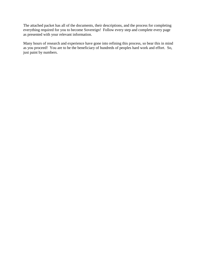The attached packet has all of the documents, their descriptions, and the process for completing everything required for you to become Sovereign! Follow every step and complete every page as presented with your relevant information.

Many hours of research and experience have gone into refining this process, so bear this in mind as you proceed! You are to be the beneficiary of hundreds of peoples hard work and effort. So, just paint by numbers.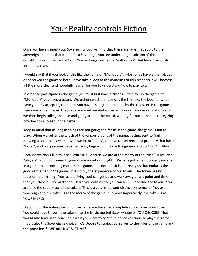### Your Reality controls Fiction

Once you have gained your Sovereignty you will find that there are laws that apply to the Sovereign and ones that don't. As a Sovereign, you are under the jurisdiction of the Constitution and the Law of God. You no longer serve the "authorities" that have previously lorded over you.

I would say that if you look at this like the game of "Monopoly". Most of us have either played or observed the game or both. If we take a look at the dynamics of this scenario it will become a little more clear and hopefully, easier for you to understand how to play to win.

In order to participate in the game you must first have a "license" to play. In the game of "Monopoly" you need a token. We either select the race car, the thimble, the boot, or what have you. By accepting the token you have also agreed to abide by the rules set in the game. Everyone is then issued the predetermined amount of currency in various denominations and we then begin rolling the dice and going around the board, waiting for our turn and strategizing how best to succeed in the game.

Keep in mind that as long as things are not going bad for us in the game, the game is fun to play. When we suffer the wrath of the various pitfalls of the game, getting sent to "jail", drawing a card that says that we owe extra "taxes", or have to pay rent on a property that has a "Hotel", and our precious paper currency begins to dwindle the game starts to "suck". Why?

Because we don't like to lose? WRONG! Because we are at the mercy of the "dice", rules, and "players" who don't seem to give a care about our plight! We have gotten emotionally involved in a game that is nothing more than a game. It is not life…It is not really us that endures the good or the bad in the game. It is simply the experience of our token! The token has no reaction to anything! You, as the living soul can get up and walk away at any point and time that you choose. No matter how hard you wish or try, you can NEVER become the token. You are only the supervisor of the token. This is a very important distinction to make. You are Sovereign and the token is at the mercy of the game, but more importantly, the token is at YOUR MERCY.

Throughout the entire playing of the game you have had complete control over your token. You could have thrown the token into the trash, melted it…or whatever YOU CHOOSE! That would also lead us to conclude that if you want to continue or not continue to play the game that is also the Sovereign's choice. *We choose* to subject ourselves to the rules of the game and the game itself. **WE ARE NOT VICTIMS!**